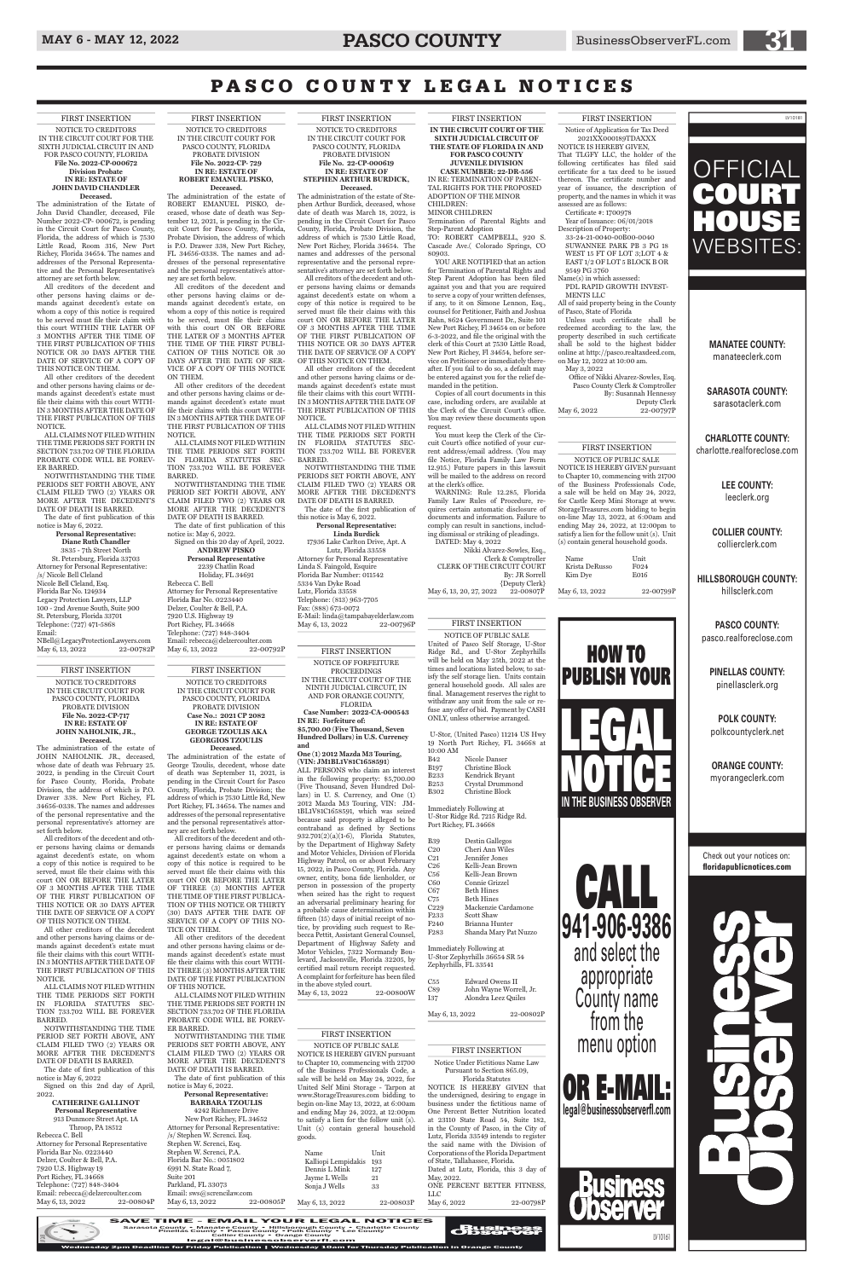# MAY 6 - MAY 12, 2022 **PASCO COUNTY** BusinessObserverFL.com

#### FIRST INSERTION

NOTICE OF FORFEITURE PROCEEDINGS IN THE CIRCUIT COURT OF THE NINTH JUDICIAL CIRCUIT, IN AND FOR ORANGE COUNTY, FLORIDA **Case Number: 2022-CA-000543**

**and One (1) 2012 Mazda M3 Touring, (VIN: JM1BL1V81C1658591)** ALL PERSONS who claim an interest in the following property: \$5,700.00 (Five Thousand, Seven Hundred Dollars) in U. S. Currency, and One (1) 2012 Mazda M3 Touring, VIN: JM-1BL1V81C1658591, which was seized because said property is alleged to be contraband as defined by Sections 932.701(2)(a)(1-6), Florida Statutes, by the Department of Highway Safety and Motor Vehicles, Division of Florida Highway Patrol, on or about February 15, 2022, in Pasco County, Florida. Any owner, entity, bona fide lienholder, or person in possession of the property when seized has the right to request an adversarial preliminary hearing for a probable cause determination within fifteen (15) days of initial receipt of notice, by providing such request to Rebecca Pettit, Assistant General Counsel, Department of Highway Safety and Motor Vehicles, 7322 Normandy Boulevard, Jacksonville, Florida 32205, by certified mail return receipt requested. A complaint for forfeiture has been filed in the above styled court. May 6, 13, 2022 22-00800W

**IN RE: Forfeiture of: \$5,700.00 (Five Thousand, Seven Hundred Dollars) in U.S. Currency** 

YOU ARE NOTIFIED that an action for Termination of Parental Rights and Step Parent Adoption has been filed against you and that you are required to serve a copy of your written defenses, if any, to it on Simone Lennon, Esq., counsel for Petitioner, Faith and Joshua Rahn, 8624 Government Dr., Suite 101 New Port Richey, Fl 34654 on or before 6-3-2022, and file the original with the clerk of this Court at 7530 Little Road, New Port Richey, Fl 34654, before service on Petitioner or immediately thereafter. If you fail to do so, a default may be entered against you for the relief demanded in the petition.

FIRST INSERTION

**IN THE CIRCUIT COURT OF THE SIXTH JUDICIAL CIRCUIT OF THE STATE OF FLORIDA IN AND FOR PASCO COUNTY JUVENILE DIVISION CASE NUMBER: 22-DR-556**

By: JR Sorrell {Deputy Clerk} May 6, 13, 20, 27, 2022 22-00807P

IN RE: TERMINATION OF PAREN-TAL RIGHTS FOR THE PROPOSED ADOPTION OF THE MINOR CHILDREN: MINOR CHILDREN Termination of Parental Rights and Step-Parent Adoption TO: ROBERT CAMPBELL, 920 S. Cascade Ave.( Colorado Springs, CO 80903.

Copies of all court documents in this case, including orders, are available at the Clerk of the Circuit Court's office. You may review these documents upon request.

You must keep the Clerk of the Circuit Court's office notified of your current address/email address. (You may file Notice, Florida Family Law Form 12.915.) Future papers in this lawsuit will be mailed to the address on record at the clerk's office.

WARNING: Rule 12.285, Florida Family Law Rules of Procedure, requires certain automatic disclosure of documents and information. Failure to comply can result in sanctions, including dismissal or striking of pleadings. DATED: May 4, 2022

Nikki Alvarez-Sowles, Esq., Clerk & Comptroller CLERK OF THE CIRCUIT COURT

Office of Nikki Alvarez-Sowles, Esq. Pasco County Clerk & Comptroller By: Susannah Hennessy Deputy Clerk<br>22-00797P May 6, 2022

Notice Under Fictitious Name Law Pursuant to Section 865.09, Florida Statutes NOTICE IS HEREBY GIVEN that the undersigned, desiring to engage in business under the fictitious name of One Percent Better Nutrition located at 23110 State Road 54, Suite 182, in the County of Pasco, in the City of Lutz, Florida 33549 intends to register the said name with the Division of Corporations of the Florida Department of State, Tallahassee, Florida. Dated at Lutz, Florida, this 3 day of May, 2022. ONE PERCENT BETTER FITNESS, LLC May 6, 2022 22-00798P

#### FIRST INSERTION NOTICE OF PUBLIC SALE

NOTICE IS HEREBY GIVEN pursuant to Chapter 10, commencing with 21700 of the Business Professionals Code, a sale will be held on May 24, 2022, for Castle Keep Mini Storage at www. StorageTreasures.com bidding to begin on-line May 13, 2022, at 6:00am and ending May 24, 2022, at 12:00pm to satisfy a lien for the follow unit (s). Unit (s) contain general household goods.

| Unit             |
|------------------|
| F <sub>024</sub> |
| E016             |
|                  |
|                  |

May 6, 13, 2022 22-00799P

#### FIRST INSERTION

NOTICE OF PUBLIC SALE United of Pasco Self Storage, U-Stor Ridge Rd., and U-Stor Zephyrhills will be held on May 25th, 2022 at the times and locations listed below, to satisfy the self storage lien. Units contain general household goods. All sales are final. Management reserves the right to withdraw any unit from the sale or refuse any offer of bid. Payment by CASH ONLY, unless otherwise arranged.

 U-Stor, (United Pasco) 11214 US Hwy 19 North Port Richey, FL 34668 at 10:00 AM Nicole Danser B197 Christine Block B233 Kendrick Bryant

B253 Crystal Drummond B302 Christine Block

Immediately Following at U-Stor Ridge Rd. 7215 Ridge Rd. Port Richey, FL 34668

B39 Destin Gallegos C<sub>20</sub> Cheri Ann Wiles<br>C<sub>21</sub> Jennifer Jones Jennifer Jones C26 Kelli-Jean Brown C56 Kelli-Jean Brown Connie Grizzel C67 Beth Hines C75 Beth Hines<br>C229 Mackenzie Mackenzie Cardamone F233 Scott Shaw F240 Brianna Hunter

F283 Shanda Mary Pat Nuzzo

Immediately Following at U-Stor Zephyrhills 36654 SR 54 Zephyrhills, FL 33541

C55 Edward Owens II C89 John Wayne Worrell, Jr. I37 Alondra Leez Quiles

May 6, 13, 2022 22-00802P

#### FIRST INSERTION

NOTICE OF PUBLIC SALE NOTICE IS HEREBY GIVEN pursuant to Chapter 10, commencing with 21700 of the Business Professionals Code, a sale will be held on May 24, 2022, for United Self Mini Storage - Tarpon at www.StorageTreasures.com bidding to begin on-line May 13, 2022, at 6:00am and ending May 24, 2022, at 12:00pm to satisfy a lien for the follow unit (s). Unit (s) contain general household goods.

#### **Personal Representative: Diane Ruth Chandler**  3835 - 7th Street North St. Petersburg, Florida 33703 Attorney for Personal Representative: /s/ Nicole Bell Cleland Nicole Bell Cleland, Esq. Florida Bar No. 124934 Legacy Protection Lawyers, LLP 100 - 2nd Avenue South, Suite 900 St. Petersburg, Florida 33701 Telephone: (727) 471-5868 Email: NBell@LegacyProtectionLawyers.com May 6, 13, 2022 22-00782P

| Name                | Unit      |
|---------------------|-----------|
| Kalliopi Lempidakis | 193       |
| Dennis L Mink       | 127       |
| Jayme L Wells       | 21        |
| Sonja J Wells       | 33        |
|                     |           |
| May 6, 13, 2022     | 22-00803P |

#### FIRST INSERTION

Notice of Application for Tax Deed 2021XX000189TDAXXX NOTICE IS HEREBY GIVEN,

That TLGFY LLC, the holder of the following certificates has filed said certificate for a tax deed to be issued thereon. The certificate number and year of issuance, the description of property, and the names in which it was assessed are as follows: Certificate #: 1700978

**Deceased.**<br>The administration of the estate of JOHN NAHOLNIK. JR., deceased, whose date of death was February 25. 2022, is pending in the Circuit Court for Pasco County, Florida, Probate Division, the address of which is P.O. Drawer 338. New Port Richey, FL 34656-0338. The names and addresses of the personal representative and the personal representative's attorney are set forth below.

Year of Issuance: 06/01/2018 Description of Property:

33-24-21-0040-00B00-0040 SUWANNEE PARK PB 3 PG 18 WEST 15 FT OF LOT 3;LOT 4 & EAST 1/2 OF LOT 5 BLOCK B OR 9549 PG 3760 Name(s) in which assessed:

PDL RAPID GROWTH INVEST-MENTS LLC All of said property being in the County

of Pasco, State of Florida Unless such certificate shall be

Throop, PA 18512 Rebecca C. Bell Attorney for Personal Representative Florida Bar No. 0223440 Delzer, Coulter & Bell, P.A. 7920 U.S. Highway 19 Port Richey, FL 34668 Telephone: (727) 848-3404 Email: rebecca@delzercoulter.com<br>May 6, 13, 2022 22-00804P  $M$ ay 6, 13, 2022

SI<br>Si

TICE ON THEM

redeemed according to the law, the property described in such certificate shall be sold to the highest bidder online at http://pasco.realtaxdeed.com, on May 12, 2022 at 10:00 am. May 3, 2022

May 6, 13, 2022 22-00792P FIRST INSERTION

#### FIRST INSERTION

All creditors of the decedent and other persons having claims or demands against decedent's estate on whom a copy of this notice is required to be served must file their claims with this court ON OR BEFORE THE LATER OF THREE (3) MONTHS AFTER THE TIME OF THE FIRST PUBLICA-TION OF THIS NOTICE OR THIRTY (30) DAYS AFTER THE DATE OF SERVICE OF A COPY OF THIS NO-

4242 Richmere Drive New Port Richey, FL 34652 Attorney for Personal Representative: /s/ Stephen W. Screnci. Esq. Stephen W. Screnci, Esq. Stephen W. Screnci, P.A. Florida Bar No.: 0051802 6991 N. State Road 7, Suite 201 Parkland, FL 33073 Email: sws@screncilaw.com<br>May 6, 13, 2022 22-00805P  $May\,6, 13, 2022$ 

FIRST INSERTION NOTICE TO CREDITORS IN THE CIRCUIT COURT FOR PASCO COUNTY, FLORIDA PROBATE DIVISION **File No. 2022-CP- 729 IN RE: ESTATE OF ROBERT EMANUEL PISKO, Deceased.**

The administration of the estate of ROBERT EMANUEL PISKO, deceased, whose date of death was September 12, 2021, is pending in the Circuit Court for Pasco County, Florida, Probate Division, the address of which is P.O. Drawer 338, New Port Richey, FL 34656-0338. The names and addresses of the personal representative and the personal representative's attorney are set forth below.

All creditors of the decedent and other persons having claims or demands against decedent's estate, on whom a copy of this notice is required to be served, must file their claims with this court ON OR BEFORE THE LATER OF 3 MONTHS AFTER THE TIME OF THE FIRST PUBLI-CATION OF THIS NOTICE OR 30 DAYS AFTER THE DATE OF SER-VICE OF A COPY OF THIS NOTICE ON THEM.

> NOTWITHSTANDING THE TIME PERIODS SET FORTH ABOVE, ANY CLAIM FILED TWO (2) YEARS OR MORE AFTER THE DECEDENT'S DATE OF DEATH IS BARRED.

> 17936 Lake Carlton Drive, Apt. A Lutz, Florida 33558 Attorney for Personal Representative Linda S. Faingold, Esquire Florida Bar Number: 011542 5334 Van Dyke Road Lutz, Florida 33558 Telephone: (813) 963-7705 Fax: (888) 673-0072 E-Mail: linda@tampabayelderlaw.com May 6, 13, 2022 22-00796P

All other creditors of the decedent and other persons having claims or demands against decedent's estate must file their claims with this court WITH-IN 3 MONTHS AFTER THE DATE OF THE FIRST PUBLICATION OF THIS NOTICE.

ALL CLAIMS NOT FILED WITHIN THE TIME PERIODS SET FORTH IN FLORIDA STATUTES SEC-TION 733.702 WILL BE FOREVER BARRED.

NOTWITHSTANDING THE TIME PERIOD SET FORTH ABOVE, ANY CLAIM FILED TWO (2) YEARS OR MORE AFTER THE DECEDENT'S DATE OF DEATH IS BARRED. The date of first publication of this notice is: May 6, 2022. Signed on this 20 day of April, 2022.

#### **ANDREW PISKO Personal Representative** 2239 Chatlin Road Holiday, FL 34691 Rebecca C. Bell Attorney for Personal Representative Florida Bar No. 0223440 Delzer, Coulter & Bell, P.A. 7920 U.S. Highway 19 Port Richey, FL 34668 Telephone: (727) 848-3404 Email: rebecca@delzercoulter.com

#### FIRST INSERTION

NOTICE TO CREDITORS IN THE CIRCUIT COURT FOR THE SIXTH JUDICIAL CIRCUIT IN AND FOR PASCO COUNTY, FLORIDA **File No. 2022-CP-000672 Division Probate IN RE: ESTATE OF JOHN DAVID CHANDLER** 

## **Deceased.**

The administration of the Estate of John David Chandler, deceased, File Number 2022-CP- 000672, is pending in the Circuit Court for Pasco County, Florida, the address of which is 7530 Little Road, Room 316, New Port Richey, Florida 34654. The names and addresses of the Personal Representative and the Personal Representative's attorney are set forth below.

All creditors of the decedent and other persons having claims or demands against decedent's estate on whom a copy of this notice is required to be served must file their claim with this court WITHIN THE LATER OF 3 MONTHS AFTER THE TIME OF THE FIRST PUBLICATION OF THIS NOTICE OR 30 DAYS AFTER THE DATE OF SERVICE OF A COPY OF THIS NOTICE ON THEM.

All other creditors of the decedent and other persons having claims or demands against decedent's estate must file their claims with this court WITH-IN 3 MONTHS AFTER THE DATE OF THE FIRST PUBLICATION OF THIS NOTICE.

ALL CLAIMS NOT FILED WITHIN THE TIME PERIODS SET FORTH IN SECTION 733.702 OF THE FLORIDA PROBATE CODE WILL BE FOREV-ER BARRED.

NOTWITHSTANDING THE TIME PERIODS SET FORTH ABOVE, ANY CLAIM FILED TWO (2) YEARS OR MORE AFTER THE DECEDENT'S DATE OF DEATH IS BARRED.

The date of first publication of this notice is May 6, 2022.

FIRST INSERTION

NOTICE TO CREDITORS IN THE CIRCUIT COURT FOR PASCO COUNTY, FLORIDA PROBATE DIVISION **File No. 2022-CP-717 IN RE: ESTATE OF JOHN NAHOLNIK, JR.,** 

All creditors of the decedent and other persons having claims or demands against decedent's estate, on whom a copy of this notice is required to be served, must file their claims with this court ON OR BEFORE THE LATER OF 3 MONTHS AFTER THE TIME OF THE FIRST PUBLICATION OF THIS NOTICE OR 30 DAYS AFTER THE DATE OF SERVICE OF A COPY OF THIS NOTICE ON THEM.

All other creditors of the decedent and other persons having claims or demands against decedent's estate must file their claims with this court WITH-IN 3 MONTHS AFTER THE DATE OF THE FIRST PUBLICATION OF THIS NOTICE.

ALL CLAIMS NOT FILED WITHIN THE TIME PERIODS SET FORTH IN FLORIDA STATUTES SEC-TION 733.702 WILL BE FOREVER BARRED.

NOTWITHSTANDING THE TIME PERIOD SET FORTH ABOVE, ANY CLAIM FILED TWO (2) YEARS OR MORE AFTER THE DECEDENT'S DATE OF DEATH IS BARRED.

The date of first publication of this notice is May 6, 2022

Signed on this 2nd day of April, 2022.

### **CATHERINE GALLINOT Personal Representative** 913 Dunmore Street Apt. 1A

NOTICE TO CREDITORS IN THE CIRCUIT COURT FOR PASCO COUNTY, FLORIDA PROBATE DIVISION **Case No.: 2021 CP 2082 IN RE: ESTATE OF GEORGE TZOULIS AKA GEORGIOS TZOULIS Deceased.**

The administration of the estate of George Tzoulis, decedent, whose date of death was September 11, 2021, is pending in the Circuit Court for Pasco County, Florida, Probate Division; the address of which is 7530 Little Rd, New Port Richey, FL 34654. The names and addresses of the personal representative and the personal representative's attorney are set forth below.

All other creditors of the decedent and other persons having claims or demands against decedent's estate must file their claims with this court WITH-IN THREE (3) MONTHS AFTER THE DATE OF THE FIRST PUBLICATION OF THIS NOTICE.

ALL CLAIMS NOT FILED WITHIN THE TIME PERIODS SET FORTH IN SECTION 733.702 OF THE FLORIDA PROBATE CODE WILL BE FOREV-ER BARRED.

NOTWITHSTANDING THE TIME PERIODS SET FORTH ABOVE, ANY CLAIM FILED TWO (2) YEARS OR MORE AFTER THE DECEDENT'S DATE OF DEATH IS BARRED. The date of first publication of this

notice is May 6, 2022. **Personal Representative:**

### **BARBARA TZOULIS**

FIRST INSERTION NOTICE TO CREDITORS IN THE CIRCUIT COURT FOR PASCO COUNTY, FLORIDA PROBATE DIVISION **File No. 22-CP-000619 IN RE: ESTATE OF STEPHEN ARTHUR BURDICK,**

**Deceased.** The administration of the estate of Stephen Arthur Burdick, deceased, whose date of death was March 18, 2022, is pending in the Circuit Court for Pasco County, Florida, Probate Division, the address of which is 7530 Little Road, New Port Richey, Florida 34654. The names and addresses of the personal representative and the personal representative's attorney are set forth below.

All creditors of the decedent and other persons having claims or demands against decedent's estate on whom a copy of this notice is required to be served must file their claims with this court ON OR BEFORE THE LATER OF 3 MONTHS AFTER THE TIME OF THE FIRST PUBLICATION OF THIS NOTICE OR 30 DAYS AFTER THE DATE OF SERVICE OF A COPY OF THIS NOTICE ON THEM.

All other creditors of the decedent and other persons having claims or demands against decedent's estate must file their claims with this court WITH-IN 3 MONTHS AFTER THE DATE OF THE FIRST PUBLICATION OF THIS NOTICE.

ALL CLAIMS NOT FILED WITHIN THE TIME PERIODS SET FORTH IN FLORIDA STATUTES SEC-TION 733.702 WILL BE FOREVER BARRED.

The date of the first publication of this notice is May 6, 2022. **Personal Representative:**

### **Linda Burdick**

# PASCO COUNTY LEGAL NOTICES

HOW TO

PUBLISH YOUR

LEGAL.

NOTICE **IN THE BUSINESS OBSERVER**

CALL





LV10161

manateeclerk.com

**SARASOTA COUNTY:**  sarasotaclerk.com

**CHARLOTTE COUNTY:** charlotte.realforeclose.com

> **LEE COUNTY:** leeclerk.org

**COLLIER COUNTY:** collierclerk.com



**HILLSBOROUGH COUNTY:**  hillsclerk.com

**PASCO COUNTY:** 

pasco.realforeclose.com

**PINELLAS COUNTY:**

pinellasclerk.org

**POLK COUNTY:** polkcountyclerk.net

**ORANGE COUNTY:** myorangeclerk.com

Check out your notices on: **floridapublicnotices.com**



SAVE TIME - EMAIL YOUR LEGAL NOTICES

Sarasota County • Manatee County • Hillsborough County • Charlotte County Pinellas County • Pasco County •Polk County • Lee County Collier County • Orange County legal@businessobserverfl.com



e for Friday Publication | Wednesday 10am for T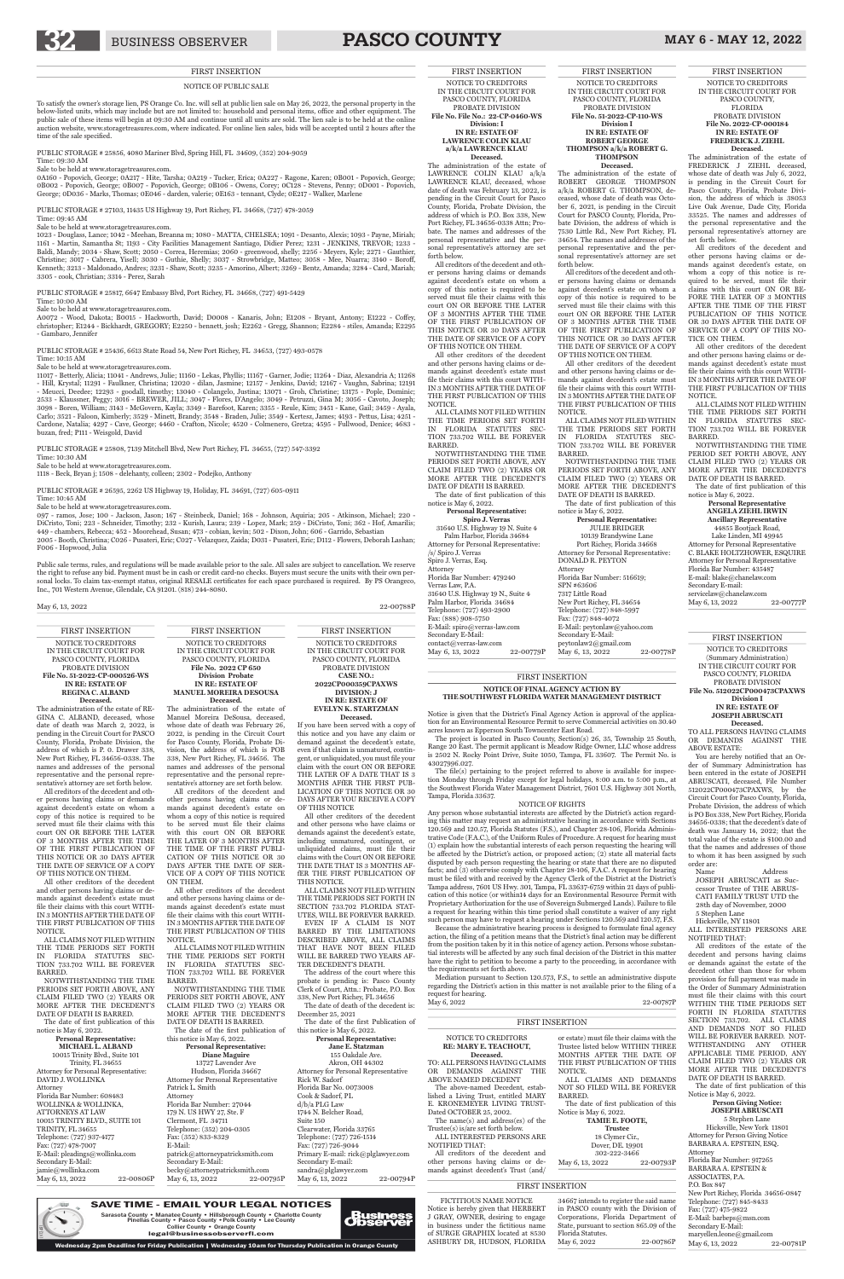# 32 BUSINESS OBSERVER **PASCO COUNTY** MAY 6 - MAY 12, 2022

#### NOTICE OF PUBLIC SALE

To satisfy the owner's storage lien, PS Orange Co. Inc. will sell at public lien sale on May 26, 2022, the personal property in the below-listed units, which may include but are not limited to: household and personal items, office and other equipment. The public sale of these items will begin at 09:30 AM and continue until all units are sold. The lien sale is to be held at the online auction website, www.storagetreasures.com, where indicated. For online lien sales, bids will be accepted until 2 hours after the time of the sale specified.

PUBLIC STORAGE # 25856, 4080 Mariner Blvd, Spring Hill, FL 34609, (352) 204-9059

Time: 09:30 AM

Sale to be held at www.storagetreasures.com.

0A160 - Popovich, George; 0A217 - Hite, Tarsha; 0A219 - Tucker, Erica; 0A227 - Ragone, Karen; 0B001 - Popovich, George; 0B002 - Popovich, George; 0B007 - Popovich, George; 0B106 - Owens, Corey; 0C128 - Stevens, Penny; 0D001 - Popovich, George; 0D036 - Marks, Thomas; 0E046 - darden, valerie; 0E163 - tennant, Clyde; 0E217 - Walker, Marlene

PUBLIC STORAGE # 27103, 11435 US Highway 19, Port Richey, FL 34668, (727) 478-2059

#### Time: 09:45 AM

Sale to be held at www.storagetreasures.com.

1023 - Douglass, Lance; 1042 - Meehan, Breanna m; 1080 - MATTA, CHELSEA; 1091 - Desanto, Alexis; 1093 - Payne, Miriah; 1161 - Martin, Samantha St; 1193 - City Facilities Management Santiago, Didier Perez; 1231 - JENKINS, TREVOR; 1233 -<br>Baldi, Mandy; 2034 - Shaw, Scott; 2050 - Correa, Heremias; 2060 - greenwood, shelly; 2256 - Meyers, Kyle; Christine; 3017 - Cabrera, Yisell; 3030 - Guthie, Shelly; 3037 - Strowbridge, Matteo; 3058 - Mee, Nuarra; 3140 - Boroff, Kenneth; 3213 - Maldonado, Andres; 3231 - Shaw, Scott; 3235 - Amorino, Albert; 3269 - Bentz, Amanda; 3284 - Card, Mariah; 3305 - cook, Christian; 3314 - Perez, Sarah

PUBLIC STORAGE # 25817, 6647 Embassy Blvd, Port Richey, FL 34668, (727) 491-5429

Time: 10:00 AM

Sale to be held at www.storagetreasures.com.

A0072 - Wood, Dakota; B0015 - Hackworth, David; D0008 - Kanaris, John; E1208 - Bryant, Antony; E1222 - Coffey, christopher; E1244 - Bickhardt, GREGORY; E2250 - bennett, josh; E2262 - Gregg, Shannon; E2284 - stiles, Amanda; E2295 - Gambaro, Jennifer

PUBLIC STORAGE # 25436, 6613 State Road 54, New Port Richey, FL 34653, (727) 493-0578

#### Time: 10:15 AM

Sale to be held at www.storagetreasures.com.

11017 - Betterly, Alicia; 11041 - Andrews, Julie; 11160 - Lekas, Phyllis; 11167 - Garner, Jodie; 11264 - Diaz, Alexandria A; 11268 - Hill, Krystal; 11291 - Faulkner, Christina; 12020 - dilan, Jasmine; 12157 - Jenkins, David; 12167 - Vaughn, Sabrina; 12191 - Meucci, Deedee; 12293 - goodall, timothy; 13040 - Colangelo, Justina; 13071 - Groh, Christine; 13175 - Pople, Dominic; 2533 - Klaussner, Peggy; 3016 - BREWER, JILL; 3047 - Flores, D'Angelo; 3049 - Petruzzi, Gina M; 3056 - Cavoto, Joseph; 3098 - Boren, William; 3143 - McGovern, Kayla; 3349 - Barefoot, Karen; 3355 - Reule, Kim; 3451 - Kane, Gail; 3459 - Ayala, Carlo; 3521 - Faloon, Kimberly; 3529 - Minett, Brandy; 3548 - Braden, Julie; 3549 - Kertesz, James; 4193 - Pettus, Lisa; 4251 - Cardone, Natalia; 4297 - Cave, George; 4460 - Crafton, Nicole; 4520 - Colmenero, Gretza; 4595 - Fullwood, Denice; 4683 buzan, fred; P111 - Weisgold, David

> **Personal Representative ANGELA ZIEHL IRWIN Ancillary Representative** 44855 Bootjack Road, Lake Linden, MI 49945 Attorney for Personal Representative C. BLAKE HOLTZHOWER, ESQUIRE Attorney for Personal Representative Florida Bar Number: 435487 E-mail: blake@chanelaw.com Secondary E-mail: servicelaw@chanelaw.com

PUBLIC STORAGE # 25808, 7139 Mitchell Blvd, New Port Richey, FL 34655, (727) 547-3392 Time: 10:30 AM Sale to be held at www.storagetreasures.com.

1118 - Beck, Bryan j; 1508 - delehanty, colleen; 2302 - Podejko, Anthony

**Deceased.**<br>The administration of the estate of ROBERT GEORGE THOMPSON a/k/a ROBERT G. THOMPSON, deceased, whose date of death was October 6, 2021, is pending in the Circuit Court for PASCO County, Florida, Pro-bate Division, the address of which is 7530 Little Rd., New Port Richey, FL 34654. The names and addresses of the personal representative and the personal representative's attorney are set forth below.

PUBLIC STORAGE # 26595, 2262 US Highway 19, Holiday, FL 34691, (727) 605-0911

Time: 10:45 AM

Sale to be held at www.storagetreasures.com.

NOTWITHSTANDING THE TIME PERIODS SET FORTH ABOVE, ANY CLAIM FILED TWO (2) YEARS OR MORE AFTER THE DECEDENT'S DATE OF DEATH IS BARRED.

097 - ramos, Jose; 100 - Jackson, Jason; 167 - Steinbeck, Daniel; 168 - Johnson, Aquiria; 205 - Atkinson, Michael; 220 - DiCristo, Toni; 223 - Schneider, Timothy; 232 - Kurish, Laura; 239 - Lopez, Mark; 259 - DiCristo, Toni; 362 - Hof, Amarilis; 449 - chambers, Rebecca; 452 - Moorehead, Susan; 473 - cobian, kevin; 502 - Dixon, John; 606 - Garrido, Sebastian 2005 - Booth, Christina; C026 - Pusateri, Eric; C027 - Velazquez, Zaida; D031 - Pusateri, Eric; D112 - Flowers, Deborah Lashan; F006 - Hopwood, Julia

The date of first publication of this notice is May 6, 2022. **Personal Representative:** JULIE BRIDGER 10139 Brandywine Lane Port Richey, Florida 34668 Attorney for Personal Representative: DONALD R. PEYTON Attorney Florida Bar Number: 516619; SPN #63606 7317 Little Road New Port Richey, FL 34654 Telephone: (727) 848-5997 Fax: (727) 848-4072 E-Mail: peytonlaw@yahoo.com Secondary E-Mail: peytonlaw2@gmail.com May 6, 13, 2022 22-00778P

Public sale terms, rules, and regulations will be made available prior to the sale. All sales are subject to cancellation. We reserve the right to refuse any bid. Payment must be in cash or credit card-no checks. Buyers must secure the units with their own personal locks. To claim tax-exempt status, original RESALE certificates for each space purchased is required. By PS Orangeco, Inc., 701 Western Avenue, Glendale, CA 91201. (818) 244-8080.

May 6, 13, 2022 22:00788P

FIRST INSERTION NOTICE TO CREDITORS IN THE CIRCUIT COURT FOR PASCO COUNTY, FLORIDA PROBATE DIVISION **File No. 2022-CP-000184 IN RE: ESTATE OF FREDERICK J. ZIEHL Deceased.** The administration of the estate of FREDERICK J ZIEHL deceased, whose date of death was July 6, 2022, is pending in the Circuit Court for Pasco County, Florida, Probate Division, the address of which is 38053 Live Oak Avenue, Dade City, Florida 33525. The names and addresses of the personal representative and the personal representative's attorney are

The date of first publication of this notice is May 6, 2022. **Personal Representative:**

Palm Harbor, Florida 34684 Attorney for Personal Representative: /s/ Spiro J. Verras Spiro J. Verras, Esq. Attorney Florida Bar Number: 479240 Verras Law, P.A. 31640 U.S. Highway 19 N., Suite 4 Palm Harbor, Florida 34684 Telephone: (727) 493-2900 Fax: (888) 908-5750 E-Mail: spiro@verras-law.com Secondary E-Mail: contact@verras-law.com May 6, 13, 2022 22-00779P set forth below.

All creditors of the decedent and other persons having claims or demands against decedent's estate, on whom a copy of this notice is required to be served, must file their claims with this court ON OR BE-FORE THE LATER OF 3 MONTHS AFTER THE TIME OF THE FIRST PUBLICATION OF THIS NOTICE OR 30 DAYS AFTER THE DATE OF SERVICE OF A COPY OF THIS NO-

TICE ON THEM.

All other creditors of the decedent and other persons having claims or demands against decedent's estate must file their claims with this court WITH-IN 3 MONTHS AFTER THE DATE OF THE FIRST PUBLICATION OF THIS

NOTICE.

ALL CLAIMS NOT FILED WITHIN THE TIME PERIODS SET FORTH IN FLORIDA STATUTES SEC-TION 733.702 WILL BE FOREVER

BARRED.

The date of first publication of this Notice is May 6, 2022.

NOTWITHSTANDING THE TIME PERIOD SET FORTH ABOVE, ANY CLAIM FILED TWO (2) YEARS OR MORE AFTER THE DECEDENT'S DATE OF DEATH IS BARRED. The date of first publication of this

5 Stephen Lane Hicksville, New York 11801 Attorney for Person Giving Notice BARBARA A. EPSTEIN, ESQ. Attorney Florida Bar Number: 917265 BARBARA A. EPSTEIN & ASSOCIATES, P.A. P.O. Box 847 New Port Richey, Florida 34656-0847 Telephone: (727) 845-8433 Fax: (727) 475-9822 E-Mail: barbeps@msn.com Secondary E-Mail: maryellen.leone@gmail.com May 6, 13, 2022 22-00781P

notice is May 6, 2022.

FIRST INSERTION NOTICE TO CREDITORS IN THE CIRCUIT COURT FOR PASCO COUNTY, FLORIDA PROBATE DIVISION **File No. 51-2022-CP-110-WS**

**Division I IN RE: ESTATE OF ROBERT GEORGE THOMPSON a/k/a ROBERT G. THOMPSON**

**Jane E. Statzman** 155 Oakdale Ave. Akron, OH 44302 Attorney for Personal Representative Rick W. Sadorf Florida Bar No. 0073008 Cook & Sadorf, PL d/b/a PLG Law 1744 N. Belcher Road, Suite 150 Clearwater, Florida 33765 Telephone: (727) 726-1514 Fax: (727) 726-9044 Primary E-mail: rick@plglawyer.com Secondary E-mail: sandra@plglawyer.com May 6, 13, 2022 22-00794P

All creditors of the decedent and other persons having claims or demands against decedent's estate on whom a copy of this notice is required to be served must file their claims with this court ON OR BEFORE THE LATER OF 3 MONTHS AFTER THE TIME OF THE FIRST PUBLICATION OF THIS NOTICE OR 30 DAYS AFTER THE DATE OF SERVICE OF A COPY OF THIS NOTICE ON THEM.

All other creditors of the decedent and other persons having claims or demands against decedent's estate must file their claims with this court WITH-IN 3 MONTHS AFTER THE DATE OF THE FIRST PUBLICATION OF THIS NOTICE.

NOTWITHSTANDING THE TIME PERIODS SET FORTH ABOVE, ANY CLAIM FILED TWO (2) YEARS OR MORE AFTER THE DECEDENT'S DATE OF DEATH IS BARRED. The date of the first publication of this notice is May 6, 2022. **Personal Representative: Diane Maguire** 13727 Lavender Ave Hudson, Florida 34667 Attorney for Personal Representative Patrick L. Smith Attorney Florida Bar Number: 27044 179 N. US HWY 27, Ste. F Clermont, FL 34711 Telephone: (352) 204-0305 Fax: (352) 833-8329 E-Mail: patrick@attorneypatricksmith.com Secondary E-Mail: becky@attorneypatricksmith.com May 6, 13, 2022 22-00795P

ALL CLAIMS NOT FILED WITHIN THE TIME PERIODS SET FORTH IN FLORIDA STATUTES SEC-TION 733.702 WILL BE FOREVER BARRED.

The project is located in Pasco County, Section(s) 26, 35, Township 25 South, Range 20 East. The permit applicant is Meadow Ridge Owner, LLC whose address is 2502 N. Rocky Point Drive, Suite 1050, Tampa, FL 33607. The Permit No. is 43027996.027.

FIRST INSERTION

NOTICE TO CREDITORS IN THE CIRCUIT COURT FOR PASCO COUNTY, FLORIDA PROBATE DIVISION **File No. File No.: 22-CP-0460-WS Division: I IN RE: ESTATE OF LAWRENCE COLIN KLAU a/k/a LAWRENCE KLAU**

**Deceased.**

The administration of the estate of LAWRENCE COLIN KLAU a/k/a LAWRENCE KLAU, deceased, whose date of death was February 13, 2022, is pending in the Circuit Court for Pasco County, Florida, Probate Division, the address of which is P.O. Box 338, New Port Richey, FL 34656-0338 Attn; Probate. The names and addresses of the personal representative and the personal representative's attorney are set forth below.

All creditors of the decedent and other persons having claims or demands against decedent's estate on whom a copy of this notice is required to be served must file their claims with this court ON OR BEFORE THE LATER OF 3 MONTHS AFTER THE TIME OF THE FIRST PUBLICATION OF THIS NOTICE OR 30 DAYS AFTER THE DATE OF SERVICE OF A COPY OF THIS NOTICE ON THEM.

All other creditors of the decedent and other persons having claims or demands against decedent's estate must file their claims with this court WITH-IN 3 MONTHS AFTER THE DATE OF THE FIRST PUBLICATION OF THIS NOTICE.

ALL CLAIMS NOT FILED WITHIN THE TIME PERIODS SET FORTH IN FLORIDA STATUTES SEC-TION 733.702 WILL BE FOREVER BARRED.

NOTWITHSTANDING THE TIME PERIODS SET FORTH ABOVE, ANY CLAIM FILED TWO (2) YEARS OR MORE AFTER THE DECEDENT'S DATE OF DEATH IS BARRED.

> 34667 intends to register the said name in PASCO county with the Division of Corporations, Florida Department of State, pursuant to section 865.09 of the Florida Statutes. 22-00786P

**Spiro J. Verras** 31640 U.S. Highway 19 N. Suite 4

> FIRST INSERTION NOTICE TO CREDITORS (Summary Administration) IN THE CIRCUIT COURT FOR PASCO COUNTY, FLORIDA PROBATE DIVISION **File No. 512022CP000473CPAXWS Division I IN RE: ESTATE OF**

> May 6, 13, 2022 22-00777P

**JOSEPH ABRUSCATI Deceased.**

TO ALL PERSONS HAVING CLAIMS OR DEMANDS AGAINST THE ABOVE ESTATE:

**Personal Representative: MICHAEL L. ALBAND** 10015 Trinity Blvd., Suite 101 Trinity, FL 34655 for Personal Representative: DAVID J. WOLLINKA Attorney Florida Bar Number: 608483 WOLLINKA & WOLLINKA, ATTORNEYS AT LAW 10015 TRINITY BLVD., SUITE 101 TRINITY FL 34655 Telephone: (727) 937-4177 Fax: (727) 478-7007 E-Mail: pleadings@wollinka.com Secondary E-Mail: jamie@wollinka.com May 6, 13, 2022 22-00806P

You are hereby notified that an Order of Summary Administration has been entered in the estate of JOSEPH ABRUSCATI, deceased, File Number 512022CP000473CPAXWS, by the Circuit Court for Pasco County, Florida, Probate Division, the address of which is PO Box 338, New Port Richey, Florida 34656-0338; that the decedent's date of death was January 14, 2022; that the total value of the estate is \$100.00 and that the names and addresses of those to whom it has been assigned by such order are:

Name Address JOSEPH ABRUSCATI as Successor Trustee of THE ABRUS-CATI FAMILY TRUST UTD the 28th day of November, 2000 5 Stephen Lane Hicksville, NY 11801

#### ALL INTERESTED PERSONS ARE NOTIFIED THAT:

All creditors of the estate of the decedent and persons having claims or demands against the estate of the decedent other than those for whom provision for full payment was made in the Order of Summary Administration must file their claims with this court WITHIN THE TIME PERIODS SET FORTH IN FLORIDA STATUTES SECTION 733.702. ALL CLAIMS AND DEMANDS NOT SO FILED WILL BE FOREVER BARRED. NOT-WITHSTANDING ANY OTHER APPLICABLE TIME PERIOD, ANY CLAIM FILED TWO (2) YEARS OR MORE AFTER THE DECEDENT'S DATE OF DEATH IS BARRED.

#### **Person Giving Notice: JOSEPH ABRUSCATI**

FIRST INSERTION NOTICE TO CREDITORS IN THE CIRCUIT COURT FOR PASCO COUNTY, FLORIDA PROBATE DIVISION **CASE NO.: 2022CP000359CPAXWS DIVISION: J IN RE: ESTATE OF**

#### **EVELYN K. STARTZMAN Deceased.**

If you have been served with a copy of this notice and you have any claim or demand against the decedent's estate, even if that claim is unmatured, contingent, or unliquidated, you must file your claim with the court ON OR BEFORE THE LATER OF A DATE THAT IS 3 MONTHS AFfER THE FIRST PUB-LICATION OF THIS NOTICE OR 30 DAYS AFTER YOU RECEIVE A COPY OF THIS NOTICE

All other creditors of the decedent and other persons who have claims or demands against the decedent's estate, including unmatured, contingent, or unliquidated claims, must file their claims with the Court ON OR BEFORE THE DATE THAT IS 3 MONTHS AFfER THE FIRST PUBLICATION OF THIS NOTICE.

ALL CLAIMS NOT FILED WITHIN THE TIME PERIODS SET FORTH IN SECTION 733.702 FLORIDA STAT-UTES, WILL BE FOREVER BARRED. EVEN IF A CLAIM IS NOT

BARRED BY THE LIMITATIONS DESCRIBED ABOVE, ALL CLAIMS THAT HAVE NOT BEEN FILED WILL BE BARRED TWO YEARS AF-TER DECEDENT'S DEATH.

The address of the court where this probate is pending is: Pasco County Clerk of Court, Attn.: Probate, P.O. Box 338, New Port Richey, FL 34656 The date of death of the decedent is:

December 25, 2021

The date of the first Publication of this notice is May 6, 2022.

#### **Personal Representative:**

FIRST INSERTION

NOTICE TO CREDITORS IN THE CIRCUIT COURT FOR PASCO COUNTY, FLORIDA **File No. 2022 CP 650 Division Probate IN RE: ESTATE OF MANUEL MOREIRA DESOUSA Deceased.**

The administration of the estate of Manuel Moreira DeSousa, deceased, whose date of death was February 26, 2022, is pending in the Circuit Court for Pasco County, Florida, Probate Division, the address of which is POB 338, New Port Richey, FL 34656. The names and addresses of the personal representative and the personal representative's attorney are set forth below.

All creditors of the decedent and other persons having claims or demands against decedent's estate on whom a copy of this notice is required to be served must file their claims with this court ON OR BEFORE THE LATER OF 3 MONTHS AFTER THE TIME OF THE FIRST PUBLI-CATION OF THIS NOTICE OR 30 DAYS AFTER THE DATE OF SER-VICE OF A COPY OF THIS NOTICE ON THEM.

All other creditors of the decedent and other persons having claims or demands against decedent's estate must file their claims with this court WITH-IN 3 MONTHS AFTER THE DATE OF

THE FIRST PUBLICATION OF THIS NOTICE.

ALL CLAIMS NOT FILED WITHIN THE TIME PERIODS SET FORTH IN FLORIDA STATUTES SEC-TION 733.702 WILL BE FOREVER BARRED.

FIRST INSERTION **NOTICE OF FINAL AGENCY ACTION BY THE SOUTHWEST FLORIDA WATER MANAGEMENT DISTRICT**

Notice is given that the District's Final Agency Action is approval of the application for an Environmental Resource Permit to serve Commercial activities on 30.40 acres known as Epperson South Towncenter East Road.

The file(s) pertaining to the project referred to above is available for inspection Monday through Friday except for legal holidays, 8:00 a.m. to 5:00 p.m., at the Southwest Florida Water Management District, 7601 U.S. Highway 301 North, Tampa, Florida 33637.

#### NOTICE OF RIGHTS

Any person whose substantial interests are affected by the District's action regarding this matter may request an administrative hearing in accordance with Sections 120.569 and 120.57, Florida Statutes (F.S.), and Chapter 28-106, Florida Administrative Code (F.A.C.), of the Uniform Rules of Procedure. A request for hearing must (1) explain how the substantial interests of each person requesting the hearing will be affected by the District's action, or proposed action; (2) state all material facts disputed by each person requesting the hearing or state that there are no disputed facts; and (3) otherwise comply with Chapter 28-106, F.A.C. A request for hearing must be filed with and received by the Agency Clerk of the District at the District's Tampa address, 7601 US Hwy. 301, Tampa, FL 33637-6759 within 21 days of publication of this notice (or within14 days for an Environmental Resource Permit with Proprietary Authorization for the use of Sovereign Submerged Lands). Failure to file a request for hearing within this time period shall constitute a waiver of any right such person may have to request a hearing under Sections 120.569 and 120.57, F.S.

Because the administrative hearing process is designed to formulate final agency action, the filing of a petition means that the District's final action may be different from the position taken by it in this notice of agency action. Persons whose substantial interests will be affected by any such final decision of the District in this matter have the right to petition to become a party to the proceeding, in accordance with the requirements set forth above.

Mediation pursuant to Section 120.573, F.S., to settle an administrative dispute regarding the District's action in this matter is not available prior to the filing of a request for hearing.

May 6, 2022 22-00787P

NOTICE TO CREDITORS **RE: MARY E. TEACHOUT, Deceased.**

TO: ALL PERSONS HAVING CLAIMS OR DEMANDS AGAINST THE ABOVE NAMED DECEDENT

The above-named Decedent, established a Living Trust, entitled MARY E. KRONEMEYER LIVING TRUST-Dated OCTOBER 25, 2002. The name(s) and address(es) of the

Trustee(s) is/are set forth below. ALL INTERESTED PERSONS ARE NOTIFIED THAT:

All creditors of the decedent and other persons having claims or demands against decedent's Trust (and/ or estate) must file their claims with the Trustee listed below WITHIN THREE MONTHS AFTER THE DATE OF THE FIRST PUBLICATION OF THIS

NOTICE.

ALL CLAIMS AND DEMANDS NOT SO FILED WILL BE FOREVER

BARRED.

The date of first publication of this

Notice is May 6, 2022.

May 6, 13, 2022

**TAMIE E. FOOTE, Trustee** 18 Clymer Cir., Dover, DE. 19901

 $302 - 222 - 3466$ <br>2022 22-00793P

FICTITIOUS NAME NOTICE Notice is hereby given that HERBERT J GRAY, OWNER, desiring to engage in business under the fictitious name of SURGE GRAPHIX located at 8530 ASHBURY DR, HUDSON, FLORIDA

FIRST INSERTION NOTICE TO CREDITORS IN THE CIRCUIT COURT FOR PASCO COUNTY, FLORIDA PROBATE DIVISION **File No. 51-2022-CP-000526-WS IN RE: ESTATE OF REGINA C. ALBAND**

#### **Deceased.**

The administration of the estate of RE-GINA C. ALBAND, deceased, whose date of death was March 2, 2022, is pending in the Circuit Court for PASCO County, Florida, Probate Division, the address of which is P. 0. Drawer 338, New Port Richey, FL 34656-0338. The names and addresses of the personal representative and the personal representative's attorney are set forth below.

All creditors of the decedent and other persons having claims or demands against decedent's estate on whom a copy of this notice is required to be served must file their claims with this court ON OR BEFORE THE LATER OF 3 MONTHS AFTER THE TIME OF THE FIRST PUBLICATION OF THIS NOTICE OR 30 DAYS AFTER THE DATE OF SERVICE OF A COPY OF THIS NOTICE ON THEM.

All other creditors of the decedent and other persons having claims or demands against decedent's estate must file their claims with this court WITH-IN 3 MONTHS AFTER THE DATE OF THE FIRST PUBLICATION OF THIS

#### NOTICE.

ALL CLAIMS NOT FILED WITHIN THE TIME PERIODS SET FORTH IN FLORIDA STATUTES SEC-TION 733.702 WILL BE FOREVER BARRED.

NOTWITHSTANDING THE TIME PERIODS SET FORTH ABOVE, ANY CLAIM FILED TWO (2) YEARS OR MORE AFTER THE DECEDENT'S DATE OF DEATH IS BARRED.

The date of first publication of this notice is May 6, 2022.

LV12481

SAVE TIME - EMAIL YOUR LEGAL NOTICES Sarasota County • Manatee County • Hillsborough County • Charlotte County<br>Pinellas County • Pasco County • Polk County • Lee County Collier County • Orange County

legal@businessobserverfl.com

m Deadline for Friday Publication | Wednesday 10am for Thursday Publication in Or<u>ange Count</u>y

*diusiness*<br>Observer

#### FIRST INSERTION

#### FIRST INSERTION

#### FIRST INSERTION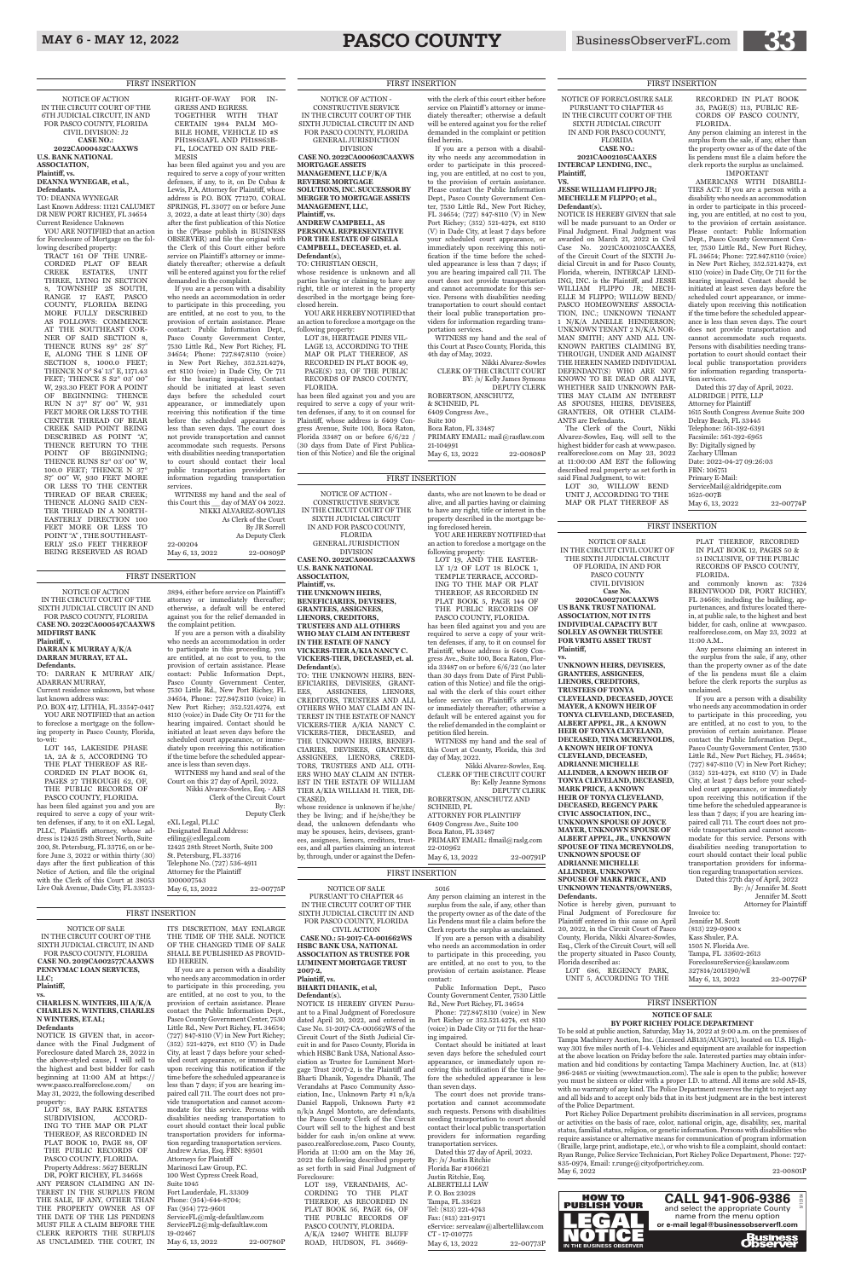## MAY 6 - MAY 12, 2022 **PASCO COUNTY** BusinessObserverFL.com

NOTICE OF ACTION IN THE CIRCUIT COURT OF THE SIXTH JUDICIAL CIRCUIT IN AND FOR PASCO COUNTY, FLORIDA **CASE NO. 2022CA000547CAAXWS MIDFIRST BANK**

#### **Plaintiff, v. DARRAN K MURRAY A/K/A DARRAN MURRAY, ET AL.**

**Defendants.** TO: DARRAN K MURRAY AIK/

ADARRAN MURRAY, Current residence unknown, but whose last known address was:

P.O. BOX 417, LITHIA, FL 33547-0417 YOU ARE NOTIFIED that an action to foreclose a mortgage on the following property in Pasco County, Florida,

to-wit: LOT 145, LAKESIDE PHASE 1A, 2A & 5, ACCORDING TO THE PLAT THEREOF AS RE-CORDED IN PLAT BOOK 61, PAGES 27 THROUGH 62, OF, THE PUBLIC RECORDS OF PASCO COUNTY, FLORIDA.

has been filed against you and you are required to serve a copy of your written defenses, if any, to it on eXL Legal, PLLC, Plaintiffs attorney, whose address is 12425 28th Street North, Suite 200, St. Petersburg, FL 33716, on or before June 3, 2022 or within thirty (30) days after the first publication of this Notice of Action, and file the original with the Clerk of this Court at 38053 Live Oak Avenue, Dade City, FL 33523-

NOTICE OF ACTION - CONSTRUCTIVE SERVICE IN THE CIRCUIT COURT OF THE SIXTH JUDICIAL CIRCUIT IN AND FOR PASCO COUNTY, FLORIDA GENERAL JURISDICTION DIVISION **CASE NO. 2022CA000512CAAXWS U.S. BANK NATIONAL ASSOCIATION, Plaintiff, vs. THE UNKNOWN HEIRS, BENEFICIARIES, DEVISEES, GRANTEES, ASSIGNEES, LIENORS, CREDITORS, TRUSTEES AND ALL OTHERS WHO MAY CLAIM AN INTEREST IN THE ESTATE OF NANCY VICKERS-TIER A/KIA NANCY C. VICKERS-TIER, DECEASED, et. al. Defendant(s).** TO: THE UNKNOWN HEIRS, BEN-EFICIARIES, DEVISEES, GRANT-EES, ASSIGNEES, LIENORS, CREDITORS, TRUSTEES AND ALL OTHERS WHO MAY CLAIM AN IN-TEREST IN THE ESTATE OF NANCY VICKERS-TIER A/KIA NANCY C. VICKERS-TIER, DECEASED, and THE UNKNOWN HEIRS, BENEFI-CIARIES, DEVISEES, GRANTEES, ASSIGNEES, LIENORS, CREDI-TORS, TRUSTEES AND ALL OTH-ERS WHO MAY CLAIM AN INTER-EST IN THE ESTATE OF WILLIAM TIER A/KIA WILLIAM H. TIER, DE-CEASED, whose residence is unknown if he/she/

3894, either before service on Plaintiff 's attorney or immediately thereafter; otherwise, a default will be entered against you for the relief demanded in the complaint petition.

If you are a person with a disability who needs an accommodation in order to participate in this proceeding, you are entitled, at no cost to you, to the provision of certain assistance. Please contact: Public Information Dept., Pasco County Government Center, 7530 Little Rd., New Port Richey, FL 34654, Phone: 727.847.8110 (voice) in New Port Richey; 352.521.4274, ext 8110 (voice) in Dade City Or 711 for the hearing impaired. Contact should be initiated at least seven days before the scheduled court appearance, or immediately upon receiving this notification if the time before the scheduled appearance is less than seven days. WITNESS my hand and seal of the

Court on this 27 day of April, 2022. Nikki Alvarez-Sowles, Esq. - AES Clerk of the Circuit Court By:

| Deputy Clerk                       |
|------------------------------------|
| eXL Legal, PLLC                    |
| Designated Email Address:          |
| $\text{effling@exllegal.com}$      |
| 12425 28th Street North, Suite 200 |
| St. Petersburg, FL 33716           |
| Telephone No. (727) 536-4911       |
| Attorney for the Plaintiff         |
| 1000007543                         |
| May 6, 13, 2022<br>22-00775P       |
|                                    |

YOU ARE HEREBY NOTIFIED that an action to foreclose a mortgage on the following property:

they be living; and if he/she/they be dead, the unknown defendants who may be spouses, heirs, devisees, grantees, assignees, lienors, creditors, trustees, and all parties claiming an interest by, through, under or against the Defen-

dants, who are not known to be dead or alive, and all parties having or claiming to have any right, title or interest in the property described in the mortgage be-

ing foreclosed herein.

#### Suite 100 Boca Raton, FL 33487 PRIMARY EMAIL: mail@rasflaw.com 21-104991 May 6, 13, 2022 22-00808P

YOU ARE HEREBY NOTIFIED that an action to foreclose a mortgage on the following property: LOT 19, AND THE EASTER-LY 1/2 OF LOT 18 BLOCK 1, TEMPLE TERRACE, ACCORD-ING TO THE MAP OR PLAT THEREOF, AS RECORDED IN PLAT BOOK 5, PAGE 144 OF THE PUBLIC RECORDS OF PASCO COUNTY, FLORIDA. has been filed against you and you are required to serve a copy of your written defenses, if any, to it on counsel for Plaintiff, whose address is 6409 Congress Ave., Suite 100, Boca Raton, Florida 33487 on or before 6/6/22 (no later than 30 days from Date of First Publication of this Notice) and file the original with the clerk of this court either before service on Plaintiff's attorney or immediately thereafter; otherwise a default will be entered against you for the relief demanded in the complaint or

petition filed herein.

WITNESS my hand and the seal of this Court at County, Florida, this 3rd

day of May, 2022.

Nikki Alvarez-Sowles, Esq. CLERK OF THE CIRCUIT COURT By: Kelly Jeanne Symons DEPUTY CLERK

ROBERTSON, ANSCHUTZ AND

SCHNEID, PL

ATTORNEY FOR PLAINTIFF 6409 Congress Ave., Suite 100 Boca Raton, FL 33487

PRIMARY EMAIL: flmail@raslg.com

May 6, 13, 2022 22-00791P

22-010962

NOTICE OF ACTION - CONSTRUCTIVE SERVICE IN THE CIRCUIT COURT OF THE SIXTH JUDICIAL CIRCUIT IN AND FOR PASCO COUNTY, FLORIDA GENERAL JURISDICTION DIVISION

**CASE NO. 2022CA000603CAAXWS MORTGAGE ASSETS MANAGEMENT, LLC F/K/A REVERSE MORTGAGE SOLUTIONS, INC. SUCCESSOR BY MERGER TO MORTGAGE ASSETS MANAGEMENT, LLC, Plaintiff, vs. ANDREW CAMPBELL, AS** 

**PERSONAL REPRESENTATIVE FOR THE ESTATE OF GISELA CAMPBELL, DECEASED, et. al. Defendant(s),** TO: CHRISTIAN OESCH,

whose residence is unknown and all parties having or claiming to have any right, title or interest in the property described in the mortgage being foreclosed herein.

LOT 38, HERITAGE PINES VIL-LAGE 13, ACCORDING TO THE MAP OR PLAT THEREOF, AS RECORDED IN PLAT BOOK 49, PAGE(S) 123, OF THE PUBLIC RECORDS OF PASCO COUNTY, FLORIDA.

If you are a person with a disability who needs any accommodation in order to participate in this proceeding, you are entitled, at no cost to you, to the provision of certain assistance. Please contact the Public Information Dept., Pasco County Government Center, 7530 Little Rd., New Port Richey, FL 34654; (727) 847-8110 (V) in New Port Richey; (352) 521-4274, ext 8110 (V) in Dade City, at least 7 days before your scheduled court appearance, or immediately upon receiving this notification if the time before the scheduled appearance is less than 7 days; if you are hearing impaired call 711. The court does not provide transportation and cannot accommodate for this service. Persons with disabilities needing transportation to court should contact their local public transportation providers for information regarding transportation services. Andrew Arias, Esq. FBN: 89501 Attorneys for Plaintiff Marinosci Law Group, P.C. 100 West Cypress Creek Road, Suite 1045 Fort Lauderdale, FL 33309 Phone: (954)-644-8704; Fax (954) 772-9601 ServiceFL@mlg-defaultlaw.com ServiceFL2@mlg-defaultlaw.com 19-02467 May 6, 13, 2022 22-00780P has been filed against you and you are required to serve a copy of your written defenses, if any, to it on counsel for Plaintiff, whose address is 6409 Congress Avenue, Suite 100, Boca Raton, Florida 33487 on or before 6/6/22 / (30 days from Date of First Publication of this Notice) and file the original

with the clerk of this court either before service on Plaintiff's attorney or immediately thereafter; otherwise a default will be entered against you for the relief demanded in the complaint or petition

filed herein.

If you are a person with a disability who needs any accommodation in order to participate in this proceeding, you are entitled, at no cost to you, to the provision of certain assistance. Please contact the Public Information Dept., Pasco County Government Center, 7530 Little Rd., New Port Richey, FL 34654; (727) 847-8110 (V) in New Port Richey; (352) 521-4274, ext 8110 (V) in Dade City, at least 7 days before your scheduled court appearance, or immediately upon receiving this notification if the time before the scheduled appearance is less than 7 days; if you are hearing impaired call 711. The court does not provide transportation and cannot accommodate for this service. Persons with disabilities needing transportation to court should contact their local public transportation providers for information regarding trans-

portation services.

WITNESS my hand and the seal of this Court at Pasco County, Florida, this

4th day of May, 2022.

Nikki Alvarez-Sowles

CLERK OF THE CIRCUIT COURT BY: /s/ Kelly James Symons DEPUTY CLERK

ROBERTSON, ANSCHUTZ, & SCHNEID, PL 6409 Congress Ave.,

NOTICE OF ACTION IN THE CIRCUIT COURT OF THE 6TH JUDICIAL CIRCUIT, IN AND FOR PASCO COUNTY, FLORIDA CIVIL DIVISION: J2 **CASE NO.: 2022CA000452CAAXWS U.S. BANK NATIONAL ASSOCIATION, Plaintiff, vs.**

> By: /s/ Justin Ritchie Florida Bar #106621 Justin Ritchie, Esq. ALBERTELLI LAW P. O. Box 23028 Tampa, FL 33623 Tel: (813) 221-4743 Fax: (813) 221-9171 eService: servealaw@albertellilaw.com CT - 17-010775 May 6, 13, 2022 22-00773P

#### **DEANNA WYNEGAR, et al.,**

**Defendants.** TO: DEANNA WYNEGAR Last Known Address: 11121 CALUMET DR NEW PORT RICHEY, FL 34654 Current Residence Unknown

YOU ARE NOTIFIED that an action for Foreclosure of Mortgage on the following described property:

TRACT 161 OF THE UNRE-CORDED PLAT OF BEAR CREEK ESTATES, UNIT THREE, LYING IN SECTION 8, TOWNSHIP 2S SOUTH, RANGE 17 EAST, PASCO COUNTY, FLORIDA BEING MORE FULLY DESCRIBED AS FOLLOWS: COMMENCE AT THE SOUTHEAST COR-NER OF SAID SECTION 8, THENCE RUNS 89° 28' S7" E, ALONG THE S LINE OF SECTION 8, 1000.0 FEET; THENCE N 0° S4' 13" E, 1171.43 FEET; THENCE S S2° 03' 00" W, 293.30 FEET FOR A POINT OF BEGINNING: THENCE RUN N 37° S7' 00" W, 931 FEET MORE OR LESS TO THE CENTER THREAD OF BEAR CREEK SAID POINT BEING DESCRIBED AS POINT "A" THENCE RETURN TO THE POINT OF BEGINNING; THENCE RUNS S2° 03' 00" W, 100.0 FEET; THENCE N 37° S7' 00" W, 930 FEET MORE OR LESS TO THE CENTER THREAD OF BEAR CREEK; THENCE ALONG SAID CEN-TER THREAD IN A NORTH-EASTERLY DIRECTION 100 FEET MORE OR LESS TO POINT "A" , THE SOUTHEAST-ERLY 2S.0 FEET THEREOF BEING RESERVED AS ROAD RIGHT-OF-WAY FOR IN-GRESS AND EGRESS. TOGETHER WITH THAT CERTAIN 1984 PALM MO-BILE HOME, VEHICLE ID #S PH18863AFL AND PH18863B-FL, LOCATED ON SAID PRE-MESIS

> ALDRIDGE | PITE, LLP Attorney for Plaintiff 1615 South Congress Avenue Suite 200 Delray Beach, FL 33445 Telephone: 561-392-6391 Facsimile: 561-392-6965 By: Digitally signed by Zachary Ullman Date: 2022-04-27 09:26:03 FBN: 106751 Primary E-Mail: ServiceMail@aldridgepite.com 1625-007B May 6, 13, 2022 22-00774P

has been filed against you and you are required to serve a copy of your written defenses, if any, to it, on De Cubas & Lewis, P.A, Attorney for Plaintiff, whose address is P.O. BOX 771270, CORAL SPRINGS, FL 33077 on or before June 3, 2022, a date at least thirty (30) days after the first publication of this Notice in the (Please publish in BUSINESS OBSERVER) and file the original with the Clerk of this Court either before service on Plaintiff's attorney or immediately thereafter; otherwise a default will be entered against you for the relief demanded in the complaint.

If you are a person with a disability who needs an accommodation in order to participate in this proceeding, you are entitled, at no cost to you, to the provision of certain assistance. Please contact: Public Information Dept., Pasco County Government Center, 7530 Little Rd., New Port Richey, FL 34654; Phone: 727.847.8110 (voice) in New Port Richey, 352.521.4274, ext 8110 (voice) in Dade City, Or 711 for the hearing impaired. Contact should be initiated at least seven days before the scheduled court appearance, or immediately upon receiving this notification if the time before the scheduled appearance is less than seven days. The court does not provide transportation and cannot accommodate such requests. Persons with disabilities needing transportation to court should contact their local public transportation providers for information regarding transportation services.

|                                     | WITNESS my hand and the seal of |
|-------------------------------------|---------------------------------|
| this Court this day of MAY 04 2022. |                                 |
|                                     | NIKKI ALVAREZ-SOWLES            |
|                                     | As Clerk of the Court           |
|                                     | By JR Sorrell                   |
|                                     | As Deputy Clerk                 |
| 22-00204                            |                                 |
| May 6, 13, 2022                     | 22-00809P                       |

(813) 229-0900 x Kass Shuler, P.A. 1505 N. Florida Ave. Tampa, FL 33602-2613 ForeclosureService@kasslaw.com 327814/2015190/wll May 6, 13, 2022 22-00776P

#### NOTICE OF SALE IN THE CIRCUIT COURT OF THE SIXTH JUDICIAL CIRCUIT, IN AND FOR PASCO COUNTY, FLORIDA **CASE NO. 2019CA002577CAAXWS PENNYMAC LOAN SERVICES, LLC; Plaintiff,**

#### **vs.**

#### **CHARLES N. WINTERS, III A/K/A CHARLES N. WINTERS, CHARLES N WINTERS, ET.AL;**

**Defendants** NOTICE IS GIVEN that, in accordance with the Final Judgment of Foreclosure dated March 28, 2022 in the above-styled cause, I will sell to the highest and best bidder for cash beginning at 11:00 AM at https:// www.pasco.realforeclose.com/ on May 31, 2022, the following described property:

> Port Richey Police Department prohibits discrimination in all services, programs or activities on the basis of race, color, national origin, age, disability, sex, marital status, familial status, religion, or genetic information. Persons with disabilities who require assistance or alternative means for communication of program information (Braille, large print, audiotape, etc.), or who wish to file a complaint, should contact: Ryan Runge, Police Service Technician, Port Richey Police Department, Phone: 727- 835-0974, Email: r.runge@cityofportrichey.com. May 6, 2022 22-00801P

LOT 58, BAY PARK ESTATES SUBDIVISION, ACCORD-ING TO THE MAP OR PLAT THEREOF, AS RECORDED IN PLAT BOOK 10, PAGE 88, OF THE PUBLIC RECORDS OF PASCO COUNTY, FLORIDA. Property Address: 5627 BERLIN DR, PORT RICHEY, FL 34668 ANY PERSON CLAIMING AN IN-TEREST IN THE SURPLUS FROM THE SALE, IF ANY, OTHER THAN THE PROPERTY OWNER AS OF THE DATE OF THE LIS PENDENS MUST FILE A CLAIM BEFORE THE CLERK REPORTS THE SURPLUS AS UNCLAIMED. THE COURT, IN

#### ITS DISCRETION, MAY ENLARGE THE TIME OF THE SALE. NOTICE OF THE CHANGED TIME OF SALE SHALL BE PUBLISHED AS PROVID-ED HEREIN.

NOTICE OF SALE PURSUANT TO CHAPTER 45 IN THE CIRCUIT COURT OF THE SIXTH JUDICIAL CIRCUIT IN AND FOR PASCO COUNTY, FLORIDA

#### CIVIL ACTION **CASE NO.: 51-2017-CA-001662WS HSBC BANK USA, NATIONAL ASSOCIATION AS TRUSTEE FOR LUMINENT MORTGAGE TRUST 2007-2, Plaintiff, vs.**

#### **BHARTI DHANIK, et al,**

**Defendant(s).** NOTICE IS HEREBY GIVEN Pursuant to a Final Judgment of Foreclosure dated April 20, 2022, and entered in Case No. 51-2017-CA-001662WS of the Circuit Court of the Sixth Judicial Circuit in and for Pasco County, Florida in which HSBC Bank USA, National Association as Trustee for Luminent Mortgage Trust 2007-2, is the Plaintiff and Bharti Dhanik, Yogendra Dhanik, The Verandahs at Pasco Community Association, Inc., Unknown Party #1 n/k/a Daniel Rappoli, Unknown Party #2 n/k/a Angel Montoto, are defendants, the Pasco County Clerk of the Circuit Court will sell to the highest and best bidder for cash in/on online at www. pasco.realforeclose.com, Pasco County, Florida at 11:00 am on the May 26, 2022 the following described property as set forth in said Final Judgment of Foreclosure:

LOT 189, VERANDAHS, AC-CORDING TO THE PLAT THEREOF, AS RECORDED IN PLAT BOOK 56, PAGE 64, OF THE PUBLIC RECORDS OF PASCO COUNTY, FLORIDA. A/K/A 12407 WHITE BLUFF ROAD, HUDSON, FL 34669-

5016 Any person claiming an interest in the

surplus from the sale, if any, other than

the property owner as of the date of the Lis Pendens must file a claim before the

Clerk reports the surplus as unclaimed.

If you are a person with a disability who needs an accommodation in order to participate in this proceeding, you are entitled, at no cost to you, to the provision of certain assistance. Please contact:

Public Information Dept., Pasco County Government Center, 7530 Little Rd., New Port Richey, FL 34654

Phone: 727.847.8110 (voice) in New Port Richey or 352.521.4274, ext 8110 (voice) in Dade City or 711 for the hearing impaired.

Contact should be initiated at least seven days before the scheduled court appearance, or immediately upon receiving this notification if the time before the scheduled appearance is less than seven days.

The court does not provide transportation and cannot accommodate such requests. Persons with disabilities needing transportation to court should contact their local public transportation providers for information regarding transportation services.

Dated this 27 day of April, 2022.

NOTICE OF FORECLOSURE SALE PURSUANT TO CHAPTER 45 IN THE CIRCUIT COURT OF THE SIXTH JUDICIAL CIRCUIT

IN AND FOR PASCO COUNTY, FLORIDA **CASE NO.:** 

**2021CA002105CAAXES INTERCAP LENDING, INC., Plaintiff,**

#### **VS. JESSE WILLIAM FLIPPO JR; MECHELLE M FLIPPO; et al.,**

**Defendant(s).** NOTICE IS HEREBY GIVEN that sale will be made pursuant to an Order or Final Judgment. Final Judgment was awarded on March 21, 2022 in Civil Case No. 2021CA002105CAAXES, of the Circuit Court of the SIXTH Judicial Circuit in and for Pasco County, Florida, wherein, INTERCAP LEND-ING, INC. is the Plaintiff, and JESSE WILLIAM FLIPPO JR; MECH-ELLE M FLIPPO; WILLOW BEND/ PASCO HOMEOWNERS' ASSOCIA-TION, INC.; UNKNOWN TENANT 1 N/K/A JANELLE HENDERSON; UNKNOWN TENANT 2 N/K/A NOR-MAN SMITH; ANY AND ALL UN-KNOWN PARTIES CLAIMING BY, THROUGH, UNDER AND AGAINST THE HEREIN NAMED INDIVIDUAL DEFENDANT(S) WHO ARE NOT KNOWN TO BE DEAD OR ALIVE, WHETHER SAID UNKNOWN PAR-TIES MAY CLAIM AN INTEREST AS SPOUSES, HEIRS, DEVISEES, GRANTEES, OR OTHER CLAIM-ANTS are Defendants.

The Clerk of the Court, Nikki Alvarez-Sowles, Esq. will sell to the highest bidder for cash at www.pasco. realforeclose.com on May 23, 2022 at 11:00:00 AM EST the following described real property as set forth in said Final Judgment, to wit: LOT 30, WILLOW BEND

UNIT J, ACCORDING TO THE MAP OR PLAT THEREOF AS

RECORDED IN PLAT BOOK 35, PAGE(S) 113, PUBLIC RE-CORDS OF PASCO COUNTY,

FLORIDA. Any person claiming an interest in the surplus from the sale, if any, other than the property owner as of the date of the lis pendens must file a claim before the clerk reports the surplus as unclaimed.

IMPORTANT

AMERICANS WITH DISABILI-TIES ACT: If you are a person with a disability who needs an accommodation in order to participate in this proceeding, you are entitled, at no cost to you, to the provision of certain assistance. Please contact: Public Information Dept., Pasco County Government Center, 7530 Little Rd., New Port Richey, FL 34654; Phone: 727.847.8110 (voice) in New Port Richey, 352.521.4274, ext 8110 (voice) in Dade City, Or 711 for the hearing impaired. Contact should be initiated at least seven days before the scheduled court appearance, or immediately upon receiving this notification if the time before the scheduled appearance is less than seven days. The court does not provide transportation and cannot accommodate such requests. Persons with disabilities needing transportation to court should contact their local public transportation providers for information regarding transportation services. Dated this 27 day of April, 2022.

NOTICE OF SALE IN THE CIRCUIT CIVIL COURT OF THE SIXTH JUDICIAL CIRCUIT OF FLORIDA, IN AND FOR PASCO COUNTY CIVIL DIVISION **Case No. 2020CA002710CAAXWS US BANK TRUST NATIONAL ASSOCIATION, NOT IN ITS INDIVIDUAL CAPACITY BUT SOLELY AS OWNER TRUSTEE FOR VRMTG ASSET TRUST Plaintiff, vs.**

**UNKNOWN HEIRS, DEVISEES, GRANTEES, ASSIGNEES, LIENORS, CREDITORS, TRUSTEES OF TONYA CLEVELAND, DECEASED, JOYCE MAYER, A KNOWN HEIR OF TONYA CLEVELAND, DECEASED, ALBERT APPEL, JR., A KNOWN HEIR OF TONYA CLEVELAND, DECEASED, TINA MCREYNOLDS, A KNOWN HEIR OF TONYA CLEVELAND, DECEASED, ADRIANNE MICHELLE ALLINDER, A KNOWN HEIR OF TONYA CLEVELAND, DECEASED, MARK PRICE, A KNOWN HEIR OF TONYA CLEVELAND, DECEASED, REGENCY PARK CIVIC ASSOCIATION, INC., UNKNOWN SPOUSE OF JOYCE MAYER, UNKNOWN SPOUSE OF ALBERT APPEL, JR., UNKNOWN SPOUSE OF TINA MCREYNOLDS, UNKNOWN SPOUSE OF ADRIANNE MICHELLE ALLINDER, UNKNOWN SPOUSE OF MARK PRICE, AND UNKNOWN TENANTS/OWNERS, Defendants.**

Notice is hereby given, pursuant to Final Judgment of Foreclosure for Plaintiff entered in this cause on April

20, 2022, in the Circuit Court of Pasco County, Florida, Nikki Alvarez-Sowles, Esq., Clerk of the Circuit Court, will sell the property situated in Pasco County, Florida described as:

LOT 686, REGENCY PARK, UNIT 5, ACCORDING TO THE PLAT THEREOF, RECORDED IN PLAT BOOK 12, PAGES 50 & 51 INCLUSIVE, OF THE PUBLIC RECORDS OF PASCO COUNTY, FLORIDA.

and commonly known as: 7324 BRENTWOOD DR, PORT RICHEY, FL 34668; including the building, appurtenances, and fixtures located therein, at public sale, to the highest and best bidder, for cash, online at www.pasco. realforeclose.com, on May 23, 2022 at 11:00 A.M..

Any persons claiming an interest in the surplus from the sale, if any, other than the property owner as of the date of the lis pendens must file a claim before the clerk reports the surplus as unclaimed.

If you are a person with a disability who needs any accommodation in order to participate in this proceeding, you are entitled, at no cost to you, to the provision of certain assistance. Please contact the Public Information Dept., Pasco County Government Center, 7530 Little Rd., New Port Richey, FL 34654; (727) 847-8110 (V) in New Port Richey; (352) 521-4274, ext 8110 (V) in Dade City, at least 7 days before your scheduled court appearance, or immediately upon receiving this notification if the time before the scheduled appearance is less than 7 days; if you are hearing impaired call 711. The court does not provide transportation and cannot accommodate for this service. Persons with disabilities needing transportation to court should contact their local public transportation providers for information regarding transportation services.

Dated this 27th day of April, 2022 By: /s/ Jennifer M. Scott Jennifer M. Scott Attorney for Plaintiff

#### FIRST INSERTION

#### **NOTICE OF SALE BY PORT RICHEY POLICE DEPARTMENT**

To be sold at public auction, Saturday, May 14, 2022 at 9:00 a.m. on the premises of Tampa Machinery Auction, Inc. (Licensed AB135/AUG871), located on U.S. Highway 301 five miles north of I-4. Vehicles and equipment are available for inspection at the above location on Friday before the sale. Interested parties may obtain information and bid conditions by contacting Tampa Machinery Auction, Inc. at (813) 986-2485 or visiting (www.tmauction.com). The sale is open to the public; however you must be sixteen or older with a proper I.D. to attend. All items are sold AS-IS, with no warranty of any kind. The Police Department reserves the right to reject any and all bids and to accept only bids that in its best judgment are in the best interest of the Police Department.



#### FIRST INSERTION

### FIRST INSERTION

#### FIRST INSERTION

#### FIRST INSERTION

#### FIRST INSERTION

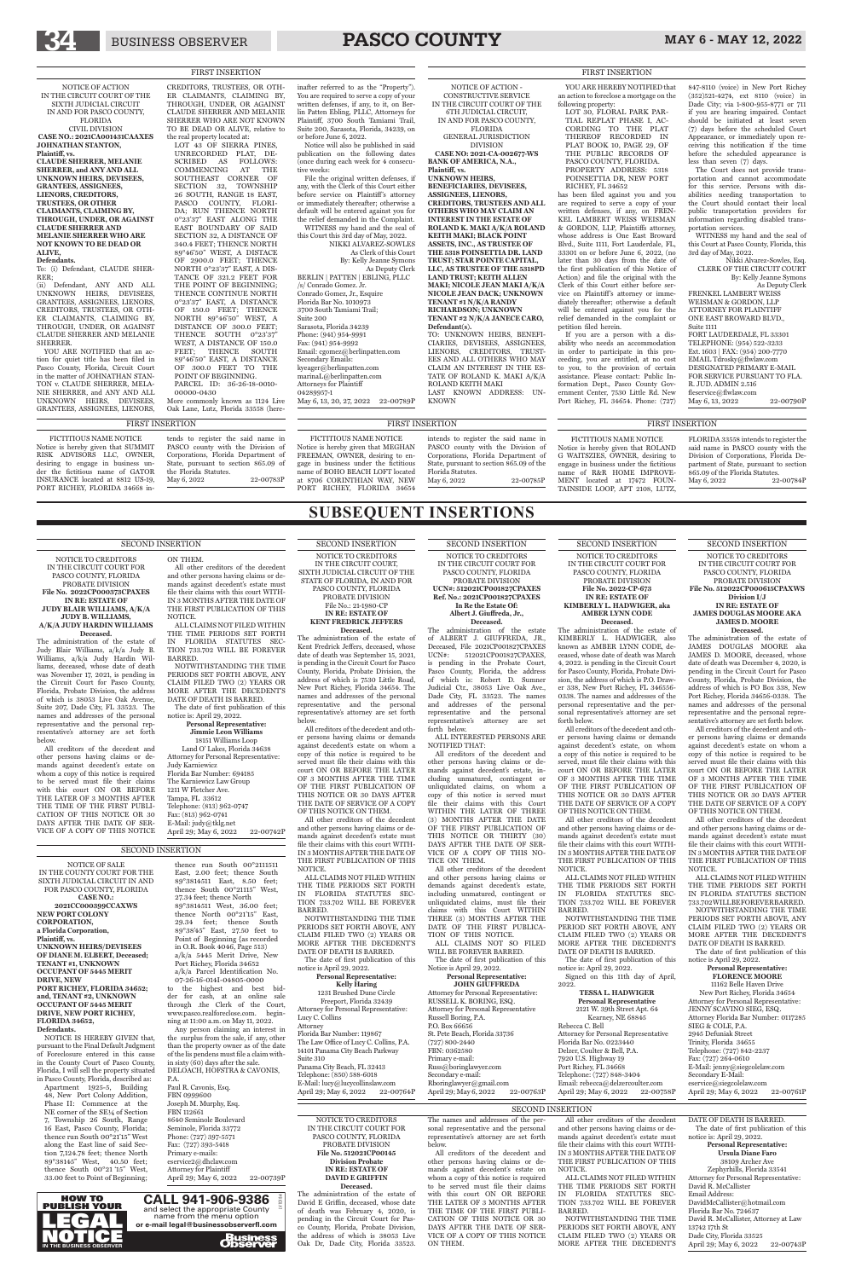# 34 BUSINESS OBSERVER **PASCO COUNTY** MAY 6 - MAY 12, 2022

SECOND INSERTION NOTICE TO CREDITORS IN THE CIRCUIT COURT FOR

PASCO COUNTY, FLORIDA PROBATE DIVISION **File No. 512022CP000615CPAXWS Division I/J IN RE: ESTATE OF JAMES DOUGLAS MOORE AKA** 

> **JAMES D. MOORE Deceased.**

The administration of the estate of JAMES DOUGLAS MOORE aka JAMES D. MOORE, deceased, whose date of death was December 4, 2020, is pending in the Circuit Court for Pasco County, Florida, Probate Division, the address of which is PO Box 338, New Port Richey, Florida 34656-0338. The names and addresses of the personal representative and the personal representative's attorney are set forth below.

#### **Personal Representative: FLORENCE MOORE** 11162 Belle Haven Drive New Port Richey, Florida 34654 Attorney for Personal Representative: JENNY SCAVINO SIEG, ESQ. Attorney Florida Bar Number: 0117285 SIEG & COLE, P.A. 2945 Defuniak Street Trinity, Florida 34655 Telephone: (727) 842-2237 Fax: (727) 264-0610 E-Mail: jenny@siegcolelaw.com Secondary E-Mail: eservice@siegcolelaw.com<br>April 29: May 6, 2022 - 22-00761P April 29; May 6, 2022

All creditors of the decedent and other persons having claims or demands against decedent's estate on whom a copy of this notice is required to be served must file their claims with this court ON OR BEFORE THE LATER OF 3 MONTHS AFTER THE TIME OF THE FIRST PUBLICATION OF THIS NOTICE OR 30 DAYS AFTER THE DATE OF SERVICE OF A COPY OF THIS NOTICE ON THEM.

All other creditors of the decedent and other persons having claims or demands against decedent's estate must file their claims with this court WITH-IN 3 MONTHS AFTER THE DATE OF THE FIRST PUBLICATION OF THIS NOTICE.

ALL CLAIMS NOT FILED WITHIN THE TIME PERIODS SET FORTH IN FLORIDA STATUTES SECTION 733.702 WILL BE FOREVER BARRED. NOTWITHSTANDING THE TIME PERIODS SET FORTH ABOVE, ANY CLAIM FILED TWO (2) YEARS OR MORE AFTER THE DECEDENT'S DATE OF DEATH IS BARRED.

The date of first publication of this notice is April 29, 2022.

Attorney for Personal Representative: RUSSELL K. BORING, ESQ. Attorney for Personal Representative Russell Boring, P.A. P.O. Box 66656 St. Pete Beach, Florida 33736 (727) 800-2440 FBN: 0362580 Primary e-mail: Russ@boringlawyer.com Secondary e-mail: Rboringlawyer@gmail.com April 29; May 6, 2022 22-00763P

SECOND INSERTION NOTICE TO CREDITORS PROBATE DIVISION **In Re the Estate Of: Albert J. Giuffreda, Jr.,**

### IN THE CIRCUIT COURT FOR PASCO COUNTY, FLORIDA **UCN#: 512021CP001827CPAXES Ref. No.: 2021CP001827CPAXES Deceased.** The administration of the estate

of ALBERT J. GIUFFREDA, JR., Deceased, File 2021CP001827CPAXES<br>UCN#: 512021CP001827CPAXES, 512021CP001827CPAXES, is pending in the Probate Court, Pasco County, Florida, the address of which is: Robert D. Sumner Judicial Ctr., 38053 Live Oak Ave., Dade City, FL 33523. The names and addresses of the personal representative and the personal representative's attorney are set forth below.

ALL INTERESTED PERSONS ARE NOTIFIED THAT:

Paul R. Cavonis, Esq. FBN 0999600 Joseph M. Murphy, Esq. FBN 112661 8640 Seminole Boulevard Seminole, Florida 33772 Phone: (727) 397-5571 Fax: (727) 393-5418 Primary e-mails: eservice2@dhclaw.com Attorney for Plaintiff April 29; May 6, 2022 22-00739P

**Business**<br>**Change** 

All creditors of the decedent and other persons having claims or demands against decedent's estate, including unmatured, contingent or unliquidated claims, on whom a copy of this notice is served must their claims with this Court WITHIN THE LATER OF THREE (3) MONTHS AFTER THE DATE OF THE FIRST PUBLICATION OF THIS NOTICE OR THIRTY (30) DAYS AFTER THE DATE OF SER-VICE OF A COPY OF THIS NO-TICE ON THEM.

All other creditors of the decedent and other persons having claims or demands against decedent's estate, including unmatured, contingent or unliquidated claims, must file their claims with this Court WITHIN THREE (3) MONTHS AFTER THE DATE OF THE FIRST PUBLICA-TION OF THIS NOTICE. ALL CLAIMS NOT SO FILED WILL BE FOREVER BARRED. The date of first publication of this Notice is April 29, 2022.

**Personal Representative: JOHN GIUFFREDA**

1231 Brushed Dune Circle Freeport, Florida 32439 Attorney for Personal Representative: Lucy C. Collins Attorney Florida Bar Number: 119867 The Law Office of Lucy C. Collins, P.A. 14101 Panama City Beach Parkway Suite 310 Panama City Beach, FL 32413 Telephone: (850) 588-6018 E-Mail: lucy@lucycollinslaw.com<br>April 29: May 6, 2022 22-00764P April 29; May 6, 2022

NOTICE OF SALE IN THE COUNTY COURT FOR THE SIXTH JUDICIAL CIRCUIT IN AND FOR PASCO COUNTY, FLORIDA **CASE NO.: 2021CC000399CCAXWS NEW PORT COLONY CORPORATION,**

**a Florida Corporation, Plaintiff, vs. UNKNOWN HEIRS/DEVISEES OF DIANE M. ELBERT, Deceased; TENANT #1, UNKNOWN OCCUPANT OF 5445 MERIT DRIVE, NEW PORT RICHEY, FLORIDA 34652; and, TENANT #2, UNKNOWN OCCUPANT OF 5445 MERIT DRIVE, NEW PORT RICHEY, FLORIDA 34652, Defendants.**

NOTICE IS HEREBY GIVEN that, pursuant to the Final Default Judgment of Foreclosure entered in this cause in the County Court of Pasco County, Florida, I will sell the property situated in Pasco County, Florida, described as:

ON THEM All other creditors of the decedent and other persons having claims or demands against decedent's estate must

Apartment 1925-5, Building 48, New Port Colony Addition, Phase II: Commence at the NE corner of the SE¼ of Section 7, Township 26 South, Range 16 East, Pasco County, Florida; thence run South 00°21'15" West along the East line of said Section 7,124.78 feet; thence North 89°38145" West, 40.50 feet; thence South 00°21'15" West, 33.00 feet to Point of Beginning;

Land O' Lakes, Florida 34638 Attorney for Personal Representative: Judy Karniewicz Florida Bar Number: 694185 The Karniewicz Law Group 1211 W Fletcher Ave. Tampa, FL 33612 Telephone: (813) 962-0747 Fax: (813) 962-0741 E-Mail: judy@tklg.net April 29; May 6, 2022 22-00742P

thence run South 00°2111511 East, 2.00 feet; thence South 89°3814511 East, 8.50 feet; thence South 00°21115" West, 27.34 feet; thence North 89°3814511 West, 36.00 feet; thence North 00°21'15" East, 29.34 feet; thence South

89°38'45" East, 27.50 feet to Point of Beginning {as recorded in O.R. Book 4046, Page 513) a/k/a 5445 Merit Drive, New Port Richey, Florida 34652 a/k/a Parcel Identification No. 07-26-16-014I-04805-0000<br>to the highest and best the highest and best bidder for cash, at an online sale through .the Clerk of the Court, www.pasco.realforeclose.com. beginning at 11:00 a.m. on May 11, 2022.

Any person claiming an interest in the surplus from the sale, if any, other than the property owner as of the date of the lis pendens must file a claim within sixty (60) days after the sale. DELOACH, HOFSTRA & CAVONIS, P.A.

#### **Personal Representative: Ursula Diane Faro** 38109 Archer Ave Zephyrhills, Florida 33541 Attorney for Personal Representative: David R. McCallister

David R. McCallister, Attorney at Law 13742 17th St Dade City, Florida 33525 April 29; May 6, 2022 22-00743P

SECOND INSERTION NOTICE TO CREDITORS IN THE CIRCUIT COURT, SIXTH JUDICIAL CIRCUIT OF THE STATE OF FLORIDA, IN AND FOR PASCO COUNTY, FLORIDA PROBATE DIVISION File No.: 21-1980-CP

#### **IN RE: ESTATE OF KENT FREDRICK JEFFERS Deceased.**

The administration of the estate of Kent Fredrick Jeffers, deceased, whose date of death was September 15, 2021, is pending in the Circuit Court for Pasco County, Florida, Probate Division, the address of which is 7530 Little Road, New Port Richey, Florida 34654. The names and addresses of the personal representative and the personal representative's attorney are set forth below.

> **TESSA L. HADWIGER Personal Representative** 2121 W. 39th Street Apt. 64 Kearney, NE 68845 Rebecca C. Bell Attorney for Personal Representative Florida Bar No. 0223440 Delzer, Coulter & Bell, P.A. 7920 U.S. Highway 19 Port Richey, FL 34668 Telephone: (727) 848-3404 Email: rebecca@delzercoulter.com April 29; May 6, 2022 22-00758P

All creditors of the decedent and other persons having claims or demands against decedent's estate on whom a copy of this notice is required to be served must file their claims with this court ON OR BEFORE THE LATER OF 3 MONTHS AFTER THE TIME OF THE FIRST PUBLICATION OF THIS NOTICE OR 30 DAYS AFTER THE DATE OF SERVICE OF A COPY OF THIS NOTICE ON THEM.

All other creditors of the decedent and other persons having claims or demands against decedent's estate must file their claims with this court WITH-IN 3 MONTHS AFTER THE DATE OF THE FIRST PUBLICATION OF THIS NOTICE.

ALL CLAIMS NOT FILED WITHIN THE TIME PERIODS SET FORTH IN FLORIDA STATUTES SEC-TION 733.702 WILL BE FOREVER BARRED.

NOTWITHSTANDING THE TIME

YOU ARE NOTIFIED that an action for quiet title has been filed in Pasco County, Florida, Circuit Court in the matter of JOHNATHAN STAN-TON v. CLAUDE SHERRER, MELA-NIE SHERRER, and ANY AND ALL UNKNOWN HEIRS, DEVISEES, GRANTEES, ASSIGNEES, LIENORS,

> PERIODS SET FORTH ABOVE, ANY CLAIM FILED TWO (2) YEARS OR MORE AFTER THE DECEDENT'S DATE OF DEATH IS BARRED.

The date of first publication of this notice is April 29, 2022.

#### **Personal Representative: Kelly Haring**

NOTICE TO CREDITORS IN THE CIRCUIT COURT FOR PASCO COUNTY, FLORIDA PROBATE DIVISION **File No. 2022CP000373CPAXES IN RE: ESTATE OF JUDY BLAIR WILLIAMS, A/K/A JUDY B. WILLIAMS, A/K/A JUDY HARDIN WILLIAMS Deceased.**

this Court this 3rd day of May, 2022. NIKKI ALVAREZ-SOWLES As Clerk of this Court By: Kelly Jeanne Symons As Deputy Clerk BERLIN | PATTEN | EBLING, PLLC /s/ Conrado Gomez. Jr. Conrado Gomez, Jr., Esquire Florida Bar No. 1010973 3700 South Tamiami Trail; Suite 200 Sarasota, Florida 34239 Phone: (941) 954-9991 Fax: (941) 954-9992 Email: cgomez@berlinpatten.com Secondary Emails: kyeager@berlinpatten.com marinaL@berlinpatten.com Attorneys for Plaintiff 04289957-1 May 6, 13, 20, 27, 2022 22-00789P

The administration of the estate of Judy Blair Williams, a/k/a Judy B. Williams, a/k/a Judy Hardin Williams, deceased, whose date of death was November 17, 2021, is pending in the Circuit Court for Pasco County, Florida, Probate Division, the address of which is 38053 Live Oak Avenue, Suite 207, Dade City, FL 33523. The names and addresses of the personal representative and the personal representative's attorney are set forth below.

All creditors of the decedent and other persons having claims or demands against decedent's estate on whom a copy of this notice is required to be served must file their claims with this court ON OR BEFORE THE LATER OF 3 MONTHS AFTER THE TIME OF THE FIRST PUBLI-CATION OF THIS NOTICE OR 30 DAYS AFTER THE DATE OF SER-VICE OF A COPY OF THIS NOTICE file their claims with this court WITH-IN 3 MONTHS AFTER THE DATE OF THE FIRST PUBLICATION OF THIS NOTICE. ALL CLAIMS NOT FILED WITHIN THE TIME PERIODS SET FORTH

IN FLORIDA STATUTES SEC-TION 733.702 WILL BE FOREVER BARRED. NOTWITHSTANDING THE TIME

PERIODS SET FORTH ABOVE, ANY CLAIM FILED TWO (2) YEARS OR MORE AFTER THE DECEDENT'S DATE OF DEATH IS BARRED. The date of first publication of this

notice is: April 29, 2022. **Personal Representative:**

**Jimmie Leon Williams** 18151 Williams Loop

> NOTICE TO CREDITORS IN THE CIRCUIT COURT FOR PASCO COUNTY, FLORIDA PROBATE DIVISION **File No. 512021CP00145 Division Probate IN RE: ESTATE OF DAVID E GRIFFIN Deceased.** The administration of the estate of

FORT LAUDERDALE, FL 33301 TELEPHONE: (954) 522-3233 Ext. 1603 | FAX: (954) 200-7770 EMAIL Tdrosky@flwlaw.com DESIGNATED PRIMARY E-MAIL FOR SERVICE PURSUANT TO FLA. R. JUD. ADMIN 2.516 fleservice@flwlaw.com May 6, 13, 2022 22-00790P

FICTITIOUS NAME NOTICE Notice is hereby given that SUMMIT RISK ADVISORS LLC, OWNER, desiring to engage in business under the fictitious name of GATOR INSURANCE located at 8812 US-19, PORT RICHEY, FLORIDA 34668 in

> David E Griffin, deceased, whose date of death was February 4, 2020, is pending in the Circuit Court for Pasco County, Florida, Probate Division, the address of which is 38053 Live Oak Dr, Dade City, Florida 33523.

The names and addresses of the personal representative and the personal representative's attorney are set forth below.

FLORIDA 33558 intends to register the said name in PASCO county with the Division of Corporations, Florida Department of State, pursuant to section 865.09 of the Florida Statutes. May 6, 2022 22-00784P

All creditors of the decedent and other persons having claims or demands against decedent's estate on whom a copy of this notice is required to be served must file their claims with this court ON OR BEFORE THE LATER OF 3 MONTHS AFTER THE TIME OF THE FIRST PUBLI-CATION OF THIS NOTICE OR 30 DAYS AFTER THE DATE OF SER-VICE OF A COPY OF THIS NOTICE ON THEM.

All other creditors of the decedent and other persons having claims or demands against decedent's estate must file their claims with this court WITH-IN 3 MONTHS AFTER THE DATE OF THE FIRST PUBLICATION OF THIS NOTICE.

ALL CLAIMS NOT FILED WITHIN THE TIME PERIODS SET FORTH IN FLORIDA STATUTES SEC-TION 733.702 WILL BE FOREVER BARRED.

NOTWITHSTANDING THE TIME PERIODS SET FORTH ABOVE, ANY CLAIM FILED TWO (2) YEARS OR MORE AFTER THE DECEDENT'S

DATE OF DEATH IS BARRED. The date of first publication of this notice is: April 29, 2022.

Email Address: DavidMcCallister@hotmail.com Florida Bar No. 724637

SECOND INSERTION NOTICE TO CREDITORS IN THE CIRCUIT COURT FOR PASCO COUNTY, FLORIDA PROBATE DIVISION **File No. 2022-CP-673 IN RE: ESTATE OF KIMBERLY L. HADWIGER, aka** 

#### **AMBER LYNN CODE Deceased.** The administration of the estate of

KIMBERLY L. HADWIGER, also known as AMBER LYNN CODE, deceased, whose date of death was March 4, 2022. is pending in the Circuit Court for Pasco County, Florida, Probate Division, the address of which is P.O. Drawer 338, New Port Richey, FL 346556- 0338. The names and addresses of the personal representative and the personal representative's attorney are set forth below.

All creditors of the decedent and other persons having claims or demands against decedent's estate, on whom a copy of this notice is required to be served, must file their claims with this court ON OR BEFORE THE LATER OF 3 MONTHS AFTER THE TIME OF THE FIRST PUBLICATION OF THIS NOTICE OR 30 DAYS AFTER THE DATE OF SERVICE OF A COPY OF THIS NOTICE ON THEM.

All other creditors of the decedent and other persons having claims or demands against decedent's estate must file their claims with this court WITH-IN 3 MONTHS AFTER THE DATE OF THE FIRST PUBLICATION OF THIS NOTICE.

ALL CLAIMS NOT FILED WITHIN THE TIME PERIODS SET FORTH IN FLORIDA STATUTES SEC-TION 733.702 WILL BE FOREVER BARRED.

NOTWITHSTANDING THE TIME

#### PERIOD SET FORTH ABOVE, ANY CLAIM FILED TWO (2) YEARS OR MORE AFTER THE DECEDENT'S DATE OF DEATH IS BARRED.

The date of first publication of this notice is: April 29, 2022. Signed on this 11th day of April, 2022.

#### SECOND INSERTION

SECOND INSERTION

### SECOND INSERTION

HOW TO

LV10184 PUBLISH YOUR **LEGAL** IN THE BUSINESS OBSERVER **CALL 941-906-9386**  and select the appropriate County name from the menu option **or e-mail legal@businessobserverfl.com**

# **SUBSEQUENT INSERTIONS**

NOTICE OF ACTION IN THE CIRCUIT COURT OF THE SIXTH JUDICIAL CIRCUIT IN AND FOR PASCO COUNTY, FLORIDA CIVIL DIVISION **CASE NO.: 2021CA001431CAAXES JOHNATHAN STANTON,**

**Plaintiff, vs.**

**CLAUDE SHERRER, MELANIE SHERRER, and ANY AND ALL UNKNOWN HEIRS, DEVISEES, GRANTEES, ASSIGNEES, LIENORS, CREDITORS, TRUSTEES, OR OTHER CLAIMANTS, CLAIMING BY, THROUGH, UNDER, OR AGAINST CLAUDE SHERRER AND MELANIE SHERRER WHO ARE NOT KNOWN TO BE DEAD OR** 

**ALIVE, Defendants.**

To: (i) Defendant, CLAUDE SHER-

RER;

(ii) Defendant, ANY AND ALL UNKNOWN HEIRS, DEVISEES, GRANTEES, ASSIGNEES, LIENORS, CREDITORS, TRUSTEES, OR OTH-ER CLAIMANTS, CLAIMING BY, THROUGH, UNDER, OR AGAINST CLAUDE SHERRER AND MELANIE

SHERRER.

CREDITORS, TRUSTEES, OR OTH-ER CLAIMANTS, CLAIMING BY, THROUGH, UNDER, OR AGAINST CLAUDE SHERRER AND MELANIE SHERRER WHO ARE NOT KNOWN TO BE DEAD OR ALIVE, relative to the real property located at: LOT 43 OF SIERRA PINES,

UNRECORDED PLAT, DE-SCRIBED AS FOLLOWS: COMMENCING AT THE SOUTHEAST CORNER OF SECTION 32, TOWNSHIP 26 SOUTH, RANGE 18 EAST, PASCO COUNTY, FLORI-DA; RUN THENCE NORTH 0°23'37" EAST ALONG THE EAST BOUNDARY OF SAID SECTION 32, A DISTANCE OF 340.4 FEET; THENCE NORTH 89°46'50" WEST, A DISTACE OF 2900.0 FEET; THENCE NORTH 0°23'37" EAST, A DIS-TANCE OF 321.2 FEET FOR THE POINT OF BEGINNING; THENCE CONTINUE NORTH 0°23'37" EAST, A DISTANCE OF 150.0 FEET; THENCE NORTH 89°46'50" WEST, A DISTANCE OF 300.0 FEET; THENCE SOUTH 0°23'37" WEST, A DISTANCE OF 150.0 FEET; THENCE SOUTH 89°46'50" EAST, A DISTANCE OF 300.0 FEET TO THE POINT OF BEGINNING. PARCEL ID: 36-26-18-0010- 00000-0430

More commonly known as 1124 Live Oak Lane, Lutz, Florida 33558 (here-

inafter referred to as the "Property"). You are required to serve a copy of your written defenses, if any, to it, on Berlin Patten Ebling, PLLC, Attorneys for Plaintiff, 3700 South Tamiami Trail, Suite 200, Sarasota, Florida, 34239, on or before June 6, 2022.

Notice will also be published in said publication on the following dates (once during each week for 4 consecutive weeks:

File the original written defenses, if any, with the Clerk of this Court either before service on Plaintiff's attorney or immediately thereafter; otherwise a default will be entered against you for the relief demanded in the Complaint. WITNESS my hand and the seal of

NOTICE OF ACTION - CONSTRUCTIVE SERVICE IN THE CIRCUIT COURT OF THE 6TH JUDICIAL CIRCUIT, IN AND FOR PASCO COUNTY,

FLORIDA GENERAL JURISDICTION DIVISION

**CASE NO: 2021-CA-002677-WS BANK OF AMERICA, N.A., Plaintiff, vs. UNKNOWN HEIRS, BENEFICIARIES, DEVISEES,** 

**ASSIGNEES, LIENORS, CREDITORS, TRUSTEES AND ALL OTHERS WHO MAY CLAIM AN INTEREST IN THE ESTATE OF ROLAND K. MAKI A/K/A ROLAND KEITH MAKI; BLACK POINT ASSETS, INC., AS TRUSTEE OF THE 5318 POINSETTIA DR. LAND TRUST; STAR POINTE CAPITAL, LLC, AS TRUSTEE OF THE 5318PD LAND TRUST; KEITH ALLEN MAKI; NICOLE JEAN MAKI A/K/A NICOLE JEAN DACK; UNKNOWN TENANT #1 N/K/A RANDY RICHARDSON; UNKNOWN TENANT #2 N/K/A JANECE CARO, Defendant(s).** TO: UNKNOWN HEIRS, BENEFI-CIARIES, DEVISEES, ASSIGNEES, LIENORS, CREDITORS, TRUST-EES AND ALL OTHERS WHO MAY CLAIM AN INTEREST IN THE ES-TATE OF ROLAND K. MAKI A/K/A ROLAND KEITH MAKI LAST KNOWN ADDRESS: UN-KNOWN

YOU ARE HEREBY NOTIFIED that an action to foreclose a mortgage on the following property: LOT 30, FLORAL PARK PAR-

TIAL REPLAT PHASE I, AC-CORDING TO THE PLAT THEREOF RECORDED IN PLAT BOOK 10, PAGE 29, OF THE PUBLIC RECORDS OF PASCO COUNTY, FLORIDA. PROPERTY ADDRESS: 5318 POINSETTIA DR, NEW PORT RICHEY, FL 34652

has been filed against you and you are required to serve a copy of your written defenses, if any, on FREN-KEL LAMBERT WEISS WEISMAN & GORDON, LLP, Plaintiffs attorney, whose address is One East Broward Blvd., Suite 1111, Fort Lauderdale, FL, 33301 on or before June 6, 2022, (no later than 30 days from the date of the first publication of this Notice of Action) and file the original with the Clerk of this Court either before service on Plaintiff's attorney or immediately thereafter; otherwise a default will be entered against you for the relief demanded in the complaint or petition filed herein.

If you are a person with a disability who needs an accommodation in order to participate in this proceeding, you are entitled, at no cost to you, to the provision of certain assistance. Please contact: Public Information Dept., Pasco County Government Center, 7530 Little Rd. New Port Richey, FL 34654. Phone: (727)

847-8110 (voice) in New Port Richey (352)521-4274, ext 8110 (voice) in Dade City; via 1-800-955-8771 or 711 if you are hearing impaired. Contact should be initiated at least seven (7) days before the scheduled Court Appearance, or immediately upon receiving this notification if the time before the scheduled appearance is less than seven (7) days.

The Court does not provide transportation and cannot accommodate for this service. Persons with disabilities needing transportation to the Court should contact their local public transportation providers for information regarding disabled transportation services.

WITNESS my hand and the seal of this Court at Pasco County, Florida, this 3rd day of May, 2022. Nikki Alvarez-Sowles, Esq.

CLERK OF THE CIRCUIT COURT By: Kelly Jeanne Symons As Deputy Clerk FRENKEL LAMBERT WEISS

WEISMAN & GORDON, LLP ATTORNEY FOR PLAINTIFF ONE EAST BROWARD BLVD., Suite 1111

FICTITIOUS NAME NOTICE Notice is hereby given that ROLAND G WAITSZIES, OWNER, desiring to engage in business under the fictitious name of R&R HOME IMPROVE-MENT located at 17472 FOUN-TAINSIDE LOOP, APT 2108, LUTZ,

tends to register the said name in PASCO county with the Division of Corporations, Florida Department of State, pursuant to section 865.09 of the Florida Statutes. May 6, 2022 22-00783P FIRST INSERTION FIRST INSERTION FIRST INSERTION

FICTITIOUS NAME NOTICE Notice is hereby given that MEGHAN FREEMAN, OWNER, desiring to engage in business under the fictitious name of BOHO BEACH LOFT located at 8706 CORINTHIAN WAY, NEW PORT RICHEY, FLORIDA 34654 intends to register the said name in PASCO county with the Division of Corporations, Florida Department of State, pursuant to section 865.09 of the

May 6, 2022 22-00785P

Florida Statutes.

#### FIRST INSERTION FIRST INSERTION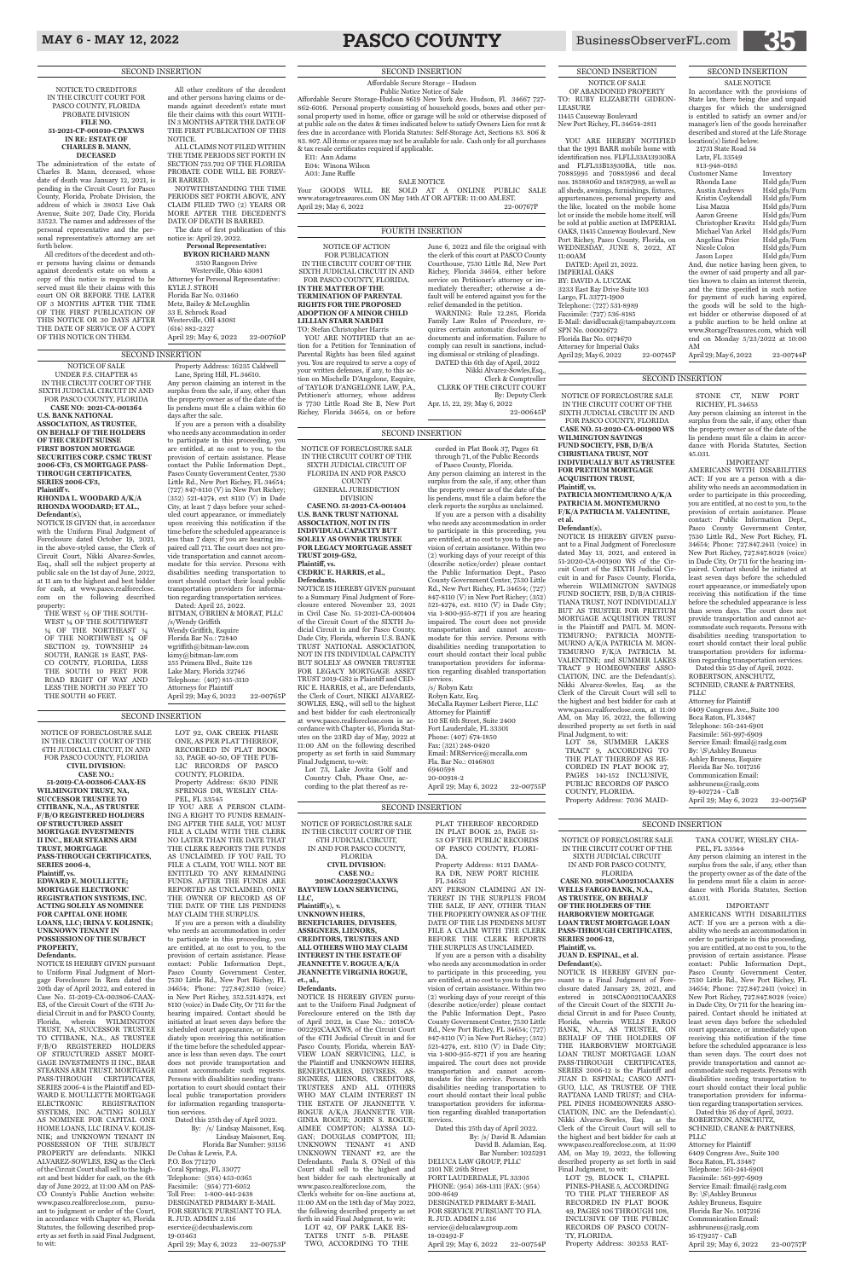## MAY 6 - MAY 12, 2022 **PASCO COUNTY** BusinessObserverFL.com

NOTICE OF FORECLOSURE SALE IN THE CIRCUIT COURT OF THE 6TH JUDICIAL CIRCUIT, IN AND FOR PASCO COUNTY, FLORIDA **CIVIL DIVISION: CASE NO.: 51-2019-CA-003806-CAAX-ES WILMINGTON TRUST, NA, SUCCESSOR TRUSTEE TO CITIBANK, N.A., AS TRUSTEE F/B/O REGISTERED HOLDERS** 

**OF STRUCTURED ASSET MORTGAGE INVESTMENTS II INC., BEAR STEARNS ARM TRUST, MORTGAGE PASS-THROUGH CERTIFICATES, SERIES 2006-4, Plaintiff, vs. EDWARD E. MOULLETTE; MORTGAGE ELECTRONIC REGISTRATION SYSTEMS, INC. ACTING SOLELY AS NOMINEE FOR CAPITAL ONE HOME LOANS, LLC; IRINA V. KOLISNIK;** 

#### **UNKNOWN TENANT IN POSSESSION OF THE SUBJECT PROPERTY,**

#### **Defendants.**

NOTICE IS HEREBY GIVEN pursuant to Uniform Final Judgment of Mortgage Foreclosure In Rem dated the 20th day of April 2022, and entered in Case No. 51-2019-CA-003806-CAAX-ES, of the Circuit Court of the 6TH Judicial Circuit in and for PASCO County, Florida, wherein WILMINGTON TRUST, NA, SUCCESSOR TRUSTEE TO CITIBANK, N.A., AS TRUSTEE F/B/O REGISTERED HOLDERS OF STRUCTURED ASSET MORT-GAGE INVESTMENTS II INC., BEAR STEARNS ARM TRUST, MORTGAGE PASS-THROUGH CERTIFICATES, SERIES 2006-4 is the Plaintiff and ED-WARD E. MOULLETTE MORTGAGE ELECTRONIC REGISTRATION SYSTEMS, INC. ACTING SOLELY AS NOMINEE FOR CAPITAL ONE HOME LOANS, LLC IRINA V. KOLIS-NIK; and UNKNOWN TENANT IN POSSESSION OF THE SUBJECT PROPERTY are defendants. NIKKI ALVAREZ-SOWLES, ESQ as the Clerk of the Circuit Court shall sell to the highest and best bidder for cash, on the 6th day of June 2022, at 11:00 AM on PAS-CO County's Public Auction website: www.pasco.realforeclose.com, pursuant to judgment or order of the Court, in accordance with Chapter 45, Florida Statutes, the following described property as set forth in said Final Judgment, to wit:

By: /s/ Lindsay Maisonet, Esq. Lindsay Maisonet, Esq. Florida Bar Number: 93156 De Cubas & Lewis, P.A. P.O. Box 771270 Coral Springs, FL 33077 Telephone: (954) 453-0365 Facsimile: (954) 771-6052 Toll Free: 1-800-441-2438 DESIGNATED PRIMARY E-MAIL FOR SERVICE PURSUANT TO FLA. R. JUD. ADMIN 2.516 eservice@decubaslewis.com 19-03463 April 29; May 6, 2022 22-00753P

LOT 92, OAK CREEK PHASE ONE, AS PER PLAT THEREOF, RECORDED IN PLAT BOOK 53, PAGE 40-50, OF THE PUB-LIC RECORDS OF PASCO COUNTY, FLORIDA. Property Address: 6830 PINE SPRINGS DR, WESLEY CHA-PEL, FL 33545

IF YOU ARE A PERSON CLAIM-ING A RIGHT TO FUNDS REMAIN-ING AFTER THE SALE, YOU MUST FILE A CLAIM WITH THE CLERK NO LATER THAN THE DATE THAT THE CLERK REPORTS THE FUNDS AS UNCLAIMED. IF YOU FAIL TO FILE A CLAIM, YOU WILL NOT BE ENTITLED TO ANY REMAINING FUNDS. AFTER THE FUNDS ARE REPORTED AS UNCLAIMED, ONLY THE OWNER OF RECORD AS OF THE DATE OF THE LIS PENDENS

MAY CLAIM THE SURPLUS. If you are a person with a disability

> NOTICE IS HEREBY GIVEN pursuant to the Uniform Final Judgment of Foreclosure entered on the 18th day of April 2022, in Case No.: 2018CA-002292CAAXWS, of the Circuit Court of the 6TH Judicial Circuit in and for Pasco County, Florida, wherein BAY-VIEW LOAN SERVICING, LLC, is the Plaintiff and UNKNOWN HEIRS, BENEFICIARIES, DEVISEES, AS-SIGNEES, LIENORS, CREDITORS, TRUSTEES AND ALL OTHERS WHO MAY CLAIM INTEREST IN THE ESTATE OF JEANNETTE V. ROGUE A/K/A JEANNETTE VIR-GINIA ROGUE; JOHN S. ROGUE; AIMEE COMPTON; ALYSSA LO-GAN; DOUGLAS COMPTON, III; UNKNOWN TENANT #1 AND UNKNOWN TENANT #2, are the Defendants. Paula S. O'Neil of this Court shall sell to the highest and best bidder for cash electronically at www.pasco.realforeclose.com, Clerk's website for on-line auctions at, 11:00 AM on the 18th day of May 2022, the following described property as set forth in said Final Judgment, to wit: LOT 42, OF PARK LAKE ES-TATES UNIT 5-B. PHASE TWO, ACCORDING TO THE

who needs an accommodation in order to participate in this proceeding, you are entitled, at no cost to you, to the provision of certain assistance. Please contact: Public Information Dept., Pasco County Government Center, 7530 Little Rd., New Port Richey, FL 34654; Phone: 727.847.8110 (voice) in New Port Richey, 352.521.4274, ext 8110 (voice) in Dade City, Or 711 for the hearing impaired. Contact should be initiated at least seven days before the scheduled court appearance, or immediately upon receiving this notification if the time before the scheduled appearance is less than seven days. The court does not provide transportation and cannot accommodate such requests. Persons with disabilities needing transportation to court should contact their local public transportation providers for information regarding transportation services. Dated this 25th day of April 2022.

> DESIGNATED PRIMARY E-MAIL FOR SERVICE PURSUANT TO FLA. R. JUD. ADMIN 2.516 service@delucalawgroup.com 18-02492-F April 29; May 6, 2022 22-00754P

SECOND INSERTION

NOTICE OF FORECLOSURE SALE IN THE CIRCUIT COURT OF THE 6TH JUDICIAL CIRCUIT, IN AND FOR PASCO COUNTY, FLORIDA **CIVIL DIVISION: CASE NO.: 2018CA002292CAAXWS BAYVIEW LOAN SERVICING, LLC, Plaintiff(s), v.**

> NOTICE IS HEREBY GIVEN pursuant to a Final Judgment of Foreclosure dated January 28, 2021, and entered in 2018CA002110CAAXES of the Circuit Court of the SIXTH Judicial Circuit in and for Pasco County, Florida, wherein WELLS FARGO BANK, N.A., AS TRUSTEE, ON BEHALF OF THE HOLDERS OF THE HARBORVIEW MORTGAGE LOAN TRUST MORTGAGE LOAN PASS-THROUGH CERTIFICATES, SERIES 2006-12 is the Plaintiff and JUAN D. ESPINAL; CASCO ANTI-GUO, LLC, AS TRUSTEE OF THE RATTANA LAND TRUST; and CHA-PEL PINES HOMEOWNERS ASSO-CIATION, INC. are the Defendant(s). Nikki Alvarez-Sowles, Esq. as the Clerk of the Circuit Court will sell to the highest and best bidder for cash at www.pasco.realforeclose.com, at 11:00 AM, on May 19, 2022, the following described property as set forth in said Final Judgment, to wit: LOT 79, BLOCK L, CHAPEL

**UNKNOWN HEIRS, BENEFICIARIES, DEVISEES,** 

#### **ASSIGNEES, LIENORS, CREDITORS, TRUSTEES AND ALL OTHERS WHO MAY CLAIM INTEREST IN THE ESTATE OF JEANNETTE V. ROGUE A/K/A JEANNETTE VIRGINIA ROGUE,**

#### **et., al., Defendants.**

PLAT THEREOF RECORDED

IN PLAT BOOK 25, PAGE 51- 53 OF THE PUBLIC RECORDS OF PASCO COUNTY, FLORI-DA.

Property Address: 8121 DAMA-

RA DR, NEW PORT RICHIE FL 34653

ANY PERSON CLAIMING AN IN-TEREST IN THE SURPLUS FROM THE SALE, IF ANY, OTHER THAN THE PROPERTY OWNER AS OF THE DATE OF THE LIS PENDENS MUST NOTICE IS HEREBY GIVEN pursuant to a Final Judgment of Foreclosure dated May 13, 2021, and entered in 51-2020-CA-001900 WS of the Circuit Court of the SIXTH Judicial Circuit in and for Pasco County, Florida, wherein WILMINGTON SAVINGS FUND SOCIETY, FSB, D/B/A CHRIS-TIANA TRUST, NOT INDIVIDUALLY BUT AS TRUSTEE FOR PRETIUM MORTGAGE ACQUISITION TRUST is the Plaintiff and PAUL M. MON-TEMURNO; PATRICIA MONTE-MURNO A/K/A PATRICIA M. MON-TEMURNO F/K/A PATRICIA M. VALENTINE; and SUMMER LAKES TRACT 9 HOMEOWNERS' ASSO-CIATION, INC. are the Defendant(s). Nikki Alvarez-Sowles, Esq. as the Clerk of the Circuit Court will sell to the highest and best bidder for cash at www.pasco.realforeclose.com, at 11:00 AM, on May 16, 2022, the following described property as set forth in said Final Judgment, to wit: LOT 58, SUMMER LAKES

FILE A CLAIM WITH THE CLERK BEFORE THE CLERK REPORTS THE SURPLUS AS UNCLAIMED.

If you are a person with a disability who needs any accommodation in order to participate in this proceeding, you are entitled, at no cost to you to the provision of certain assistance. Within two (2) working days of your receipt of this (describe notice/order) please contact the Public Information Dept., Pasco County Government Center, 7530 Little Rd., New Port Richey, FL 34654; (727) 847-8110 (V) in New Port Richey; (352) 521-4274, ext. 8110 (V) in Dade City; via 1-800-955-8771 if you are hearing impaired. The court does not provide transportation and cannot accommodate for this service. Persons with disabilities needing transportation to court should contact their local public transportation providers for information regarding disabled transportation services.

PLLC Attorney for Plaintiff 6409 Congress Ave., Suite 100 Boca Raton, FL 33487 Telephone: 561-241-6901 Facsimile: 561-997-6909 Service Email: flmail@raslg.com By: \S\Ashley Bruneus Ashley Bruneus, Esquire Florida Bar No. 1017216 Communication Email: ashbruneus@raslg.com 19-402724 - CaB April 29; May 6, 2022 22-00756P

Dated this 25th day of April 2022. By: /s/ David B. Adamian

David B. Adamian, Esq. Bar Number: 1025291 DELUCA LAW GROUP, PLLC

2101 NE 26th Street FORT LAUDERDALE, FL 33305 PHONE: (954) 368-1311 |FAX: (954) 200-8649

#### SECOND INSERTION

NOTICE OF FORECLOSURE SALE IN THE CIRCUIT COURT OF THE SIXTH JUDICIAL CIRCUIT

IN AND FOR PASCO COUNTY, FLORIDA **CASE NO. 2018CA002110CAAXES WELLS FARGO BANK, N.A., AS TRUSTEE, ON BEHALF OF THE HOLDERS OF THE HARBORVIEW MORTGAGE LOAN TRUST MORTGAGE LOAN** 

THE WEST  $\frac{1}{2}$  OF THE SOUTH-WEST ¼ OF THE SOUTHWEST ¼ OF THE NORTHEAST ¼ OF THE NORTHWEST ¼ OF SECTION 19, TOWNSHIP 24 SOUTH, RANGE 18 EAST, PAS-CO COUNTY, FLORIDA, LESS THE SOUTH 10 FEET FOR ROAD RIGHT OF WAY AND LESS THE NORTH 30 FEET TO THE SOUTH 40 FEET.

#### **PASS-THROUGH CERTIFICATES, SERIES 2006-12, Plaintiff, vs.**

#### **JUAN D. ESPINAL, et al. Defendant(s).**

Dated: April 25, 2022. BITMAN, O'BRIEN & MORAT, PLLC /s/Wendy Griffith Wendy Griffith, Esquire Florida Bar No.: 72840 wgriffith@bitman-law.com kimy@bitman-law.com 255 Primera Blvd., Suite 128 Lake Mary, Florida 32746 Telephone: (407) 815-3110 Attorneys for Plaintiff April 29; May 6, 2022 22-00765P

NOTICE OF FORECLOSURE SALE IN THE CIRCUIT COURT OF THE SIXTH JUDICIAL CIRCUIT OF FLORIDA IN AND FOR PASCO

> PINES-PHASE 5, ACCORDING TO THE PLAT THEREOF AS RECORDED IN PLAT BOOK 49, PAGES 106 THROUGH 108, INCLUSIVE OF THE PUBLIC RECORDS OF PASCO COUN-TY, FLORIDA. Property Address: 30253 RAT-

TANA COURT, WESLEY CHA-PEL, FL 33544

Any person claiming an interest in the surplus from the sale, if any, other than the property owner as of the date of the lis pendens must file a claim in accordance with Florida Statutes, Section 45.031.

IMPORTANT AMERICANS WITH DISABILITIES ACT: If you are a person with a disability who needs an accommodation in

order to participate in this proceeding, you are entitled, at no cost to you, to the provision of certain assistance. Please contact: Public Information Dept., Pasco County Government Center, 7530 Little Rd., New Port Richey, FL 34654; Phone: 727.847.2411 (voice) in New Port Richey, 727.847.8028 (voice) in Dade City, Or 711 for the hearing impaired. Contact should be initiated at least seven days before the scheduled court appearance, or immediately upon receiving this notification if the time before the scheduled appearance is less than seven days. The court does not provide transportation and cannot accommodate such requests. Persons with disabilities needing transportation to court should contact their local public transportation providers for information regarding transportation services. Dated this 26 day of April, 2022.

20-00918-2 April 29; May 6, 2022 22-00755P

> ROBERTSON, ANSCHUTZ, SCHNEID, CRANE & PARTNERS, PLLC Attorney for Plaintiff 6409 Congress Ave., Suite 100 Boca Raton, FL 33487 Telephone: 561-241-6901 Facsimile: 561-997-6909 Service Email: flmail@raslg.com By: \S\Ashley Bruneus Ashley Bruneus, Esquire

Florida Bar No. 1017216 Communication Email: ashbruneus@raslg.com 16-179257 - CaB

April 29; May 6, 2022 22-00757P

#### SECOND INSERTION

DATED: April 21, 2022. IMPERIAL OAKS BY: DAVID A. LUCZAK 3233 East Bay Drive Suite 103 Largo, FL 33771-1900 Telephone: (727) 531-8989 Facsimile: (727) 536-8185 E-Mail: davidluczak@tampabay.rr.com SPN No. 00002672 Florida Bar No. 0174670 Attorney for Imperial Oaks April 29; May 6, 2022 22-00745P

NOTICE OF FORECLOSURE SALE IN THE CIRCUIT COURT OF THE SIXTH JUDICIAL CIRCUIT IN AND FOR PASCO COUNTY, FLORIDA **CASE NO. 51-2020-CA-001900 WS WILMINGTON SAVINGS FUND SOCIETY, FSB, D/B/A CHRISTIANA TRUST, NOT INDIVIDUALLY BUT AS TRUSTEE FOR PRETIUM MORTGAGE ACQUISITION TRUST, Plaintiff, vs.**

**PATRICIA MONTEMURNO A/K/A PATRICIA M. MONTEMURNO F/K/A PATRICIA M. VALENTINE, et al.**

#### **Defendant(s).**

3510 Rangoon Drive Westerville, Ohio 43081 Attorney for Personal Representative: KYLE J. STROH Florida Bar No. 031460 Metz, Bailey & McLoughlin 33 E. Schrock Road Westerville, OH 43081 (614) 882-2327 April 29; May 6, 2022 22-00760P

TRACT 9, ACCORDING TO THE PLAT THEREOF AS RE-CORDED IN PLAT BOOK 27, PAGES 141-152 INCLUSIVE, PUBLIC RECORDS OF PASCO COUNTY, FLORIDA. Property Address: 7036 MAID-

STONE CT, NEW PORT RICHEY, FL 34653

Any person claiming an interest in the surplus from the sale, if any, other than the property owner as of the date of the lis pendens must file a claim in accordance with Florida Statutes, Section 45.031.

IMPORTANT AMERICANS WITH DISABILITIES ACT: If you are a person with a disability who needs an accommodation in order to participate in this proceeding, you are entitled, at no cost to you, to the provision of certain assistance. Please contact: Public Information Dept., Pasco County Government Center, 7530 Little Rd., New Port Richey, FL 34654; Phone: 727.847.2411 (voice) in New Port Richey, 727.847.8028 (voice) in Dade City, Or 711 for the hearing impaired. Contact should be initiated at least seven days before the scheduled court appearance, or immediately upon receiving this notification if the time before the scheduled appearance is less than seven days. The court does not provide transportation and cannot accommodate such requests. Persons with disabilities needing transportation to court should contact their local public transportation providers for information regarding transportation services.

Your GOODS WILL BE SOLD AT A ONLINE PUBLIC SALE www.storagetreasures.com ON May 14th AT OR AFTER: 11:00 AM.EST. April 29: May 6, 2022 22-00767P

> Dated this 25 day of April, 2022. ROBERTSON, ANSCHUTZ, SCHNEID, CRANE & PARTNERS,

#### SECOND INSERTION

NOTICE OF SALE UNDER F.S. CHAPTER 45 IN THE CIRCUIT COURT OF THE SIXTH JUDICIAL CIRCUIT IN AND FOR PASCO COUNTY, FLORIDA

**CASE NO: 2021-CA-001364 U.S. BANK NATIONAL ASSOCIATION, AS TRUSTEE, ON BEHALF OF THE HOLDERS OF THE CREDIT SUISSE FIRST BOSTON MORTGAGE SECURITIES CORP. CSMC TRUST 2006-CF3, CS MORTGAGE PASS-THROUGH CERTIFICATES, SERIES 2006-CF3, Plaintiff v.** 

### **RHONDA L. WOODARD A/K/A RHONDA WOODARD; ET AL.,**

**Defendant(s),** NOTICE IS GIVEN that, in accordance with the Uniform Final Judgment of Foreclosure dated October 19, 2021, in the above-styled cause, the Clerk of Circuit Court, Nikki Alvarez-Sowles, Esq., shall sell the subject property at public sale on the 1st day of June, 2022, at 11 am to the highest and best bidder for cash, at www.pasco.realforeclose. com on the following described property:

Property Address: 16235 Caldwell Lane, Spring Hill, FL 34610. Any person claiming an interest in the surplus from the sale, if any, other than the property owner as of the date of the lis pendens must file a claim within 60 days after the sale.

If you are a person with a disability who needs any accommodation in order to participate in this proceeding, you are entitled, at no cost to you, to the provision of certain assistance. Please .<br>contact the Public Information Dept. Pasco County Government Center, 7530 Little Rd., New Port Richey, FL 34654; (727) 847-8110 (V) in New Port Richey; (352) 521-4274, ext 8110 (V) in Dade City, at least 7 days before your scheduled court appearance, or immediately upon receiving this notification if the time before the scheduled appearance is less than 7 days; if you are hearing impaired call 711. The court does not provide transportation and cannot accommodate for this service. Persons with disabilities needing transportation to court should contact their local public transportation providers for information regarding transportation services.

SECOND INSERTION

COUNTY GENERAL JURISDICTION DIVISION

**CASE NO. 51-2021-CA-001404 U.S. BANK TRUST NATIONAL ASSOCIATION, NOT IN ITS INDIVIDUAL CAPACITY BUT SOLELY AS OWNER TRUSTEE FOR LEGACY MORTGAGE ASSET TRUST 2019-GS2, Plaintiff, vs.**

#### **CEDRIC E. HARRIS, et al., Defendants.**

NOTICE IS HEREBY GIVEN pursuant to a Summary Final Judgment of Foreclosure entered November 23, 2021 in Civil Case No. 51-2021-CA-001404 of the Circuit Court of the SIXTH Judicial Circuit in and for Pasco County, Dade City, Florida, wherein U.S. BANK TRUST NATIONAL ASSOCIATION, NOT IN ITS INDIVIDUAL CAPACITY BUT SOLELY AS OWNER TRUSTEE FOR LEGACY MORTGAGE ASSET TRUST 2019-GS2 is Plaintiff and CED-RIC E. HARRIS, et al., are Defendants, the Clerk of Court, NIKKI ALVAREZ-SOWLES, ESQ., will sell to the highest and best bidder for cash electronically at www.pasco.realforeclose.com in accordance with Chapter 45, Florida Statutes on the 23RD day of May, 2022 at 11:00 AM on the following described property as set forth in said Summary Final Judgment, to-wit: Lot 73, Lake Jovita Golf and

Country Club, Phase One, according to the plat thereof as re-

corded in Plat Book 37, Pages 61 through 71, of the Public Records of Pasco County, Florida. Any person claiming an interest in the surplus from the sale, if any, other than the property owner as of the date of the lis pendens, must file a claim before the

clerk reports the surplus as unclaimed. If you are a person with a disability who needs any accommodation in order to participate in this proceeding, you are entitled, at no cost to you to the provision of certain assistance. Within two (2) working days of your receipt of this (describe notice/order) please contact the Public Information Dept., Pasco

County Government Center, 7530 Little Rd., New Port Richey, FL 34654; (727) 847-8110 (V) in New Port Richey; (352) 521-4274, ext. 8110 (V) in Dade City; via 1-800-955-8771 if you are hearing impaired. The court does not provide transportation and cannot accommodate for this service. Persons with disabilities needing transportation to court should contact their local public transportation providers for information regarding disabled transportation services. /s/ Robyn Katz Robyn Katz, Esq. McCalla Raymer Leibert Pierce, LLC Attorney for Plaintiff 110 SE 6th Street, Suite 2400

Fort Lauderdale, FL 33301 Phone: (407) 674-1850 Fax: (321) 248-0420 Email: MRService@mccalla.com Fla. Bar No.: 0146803 6940598

#### SECOND INSERTION

SECOND INSERTION SALE NOTICE

In accordance with the provisions of State law, there being due and unpaid charges for which the undersigned is entitled to satisfy an owner and/or manager's lien of the goods hereinafter described and stored at the Life Storage location(s) listed below.

21731 State Road 54

| Lutz, FL 33549                           |               |  |
|------------------------------------------|---------------|--|
| 813-948-0185                             |               |  |
| <b>Customer Name</b>                     | Inventory     |  |
| Rhonda Lane                              | Hsld gds/Furn |  |
| Austin Andrews                           | Hsld gds/Furn |  |
| Kristin Coykendall                       | Hsld gds/Furn |  |
| Lisa Mazza                               | Hsld gds/Furn |  |
| Aaron Greene                             | Hsld gds/Furn |  |
| Christopher Kravitz                      | Hsld gds/Furn |  |
| Michael Van Arkel                        | Hsld gds/Furn |  |
| Angelina Price                           | Hsld gds/Furn |  |
| Nicole Colon                             | Hsld gds/Furn |  |
| Jason Lopez                              | Hsld gds/Furn |  |
| And, due notice having been given, to    |               |  |
| the owner of said property and all par-  |               |  |
| ties known to claim an interest therein, |               |  |
| and the time specified in such notice    |               |  |
| for payment of such having expired.      |               |  |

for payment of such having expired, the goods will be sold to the highest bidder or otherwise disposed of at a public auction to be held online at www.StorageTreasures.com, which will end on Monday 5/23/2022 at 10:00 AM

April 29; May 6, 2022 22-00744P

### SECOND INSERTION NOTICE OF SALE

OF ABANDONED PROPERTY TO: RUBY ELIZABETH GIDEON-LEASURE 11415 Causeway Boulevard New Port Richey, FL 34654-2811

YOU ARE HEREBY NOTIFIED that the 1991 BARR mobile home with identification nos. FLFLL33A13930BA and FLFL33B13930BA, title nos. 70885995 and 70885986 and decal nos. 18588060 and 18587989, as well as all sheds, awnings, furnishings, fixtures, appurtenances, personal property and the like, located on the mobile home lot or inside the mobile home itself, will be sold at public auction at IMPERIAL OAKS, 11415 Causeway Boulevard, New Port Richey, Pasco County, Florida, on WEDNESDAY, JUNE 8, 2022, AT 11:00AM

NOTICE TO CREDITORS IN THE CIRCUIT COURT FOR PASCO COUNTY, FLORIDA PROBATE DIVISION **FILE NO. 51-2021-CP-001010-CPAXWS IN RE: ESTATE OF CHARLES B. MANN,**

#### **DECEASED**

The administration of the estate of Charles B. Mann, deceased, whose date of death was January 12, 2021, is pending in the Circuit Court for Pasco County, Florida, Probate Division, the address of which is 38053 Live Oak Avenue, Suite 207, Dade City, Florida 33523. The names and addresses of the personal representative and the personal representative's attorney are set forth below.

All creditors of the decedent and other persons having claims or demands against decedent's estate on whom a copy of this notice is required to be served must file their claims with this court ON OR BEFORE THE LATER OF 3 MONTHS AFTER THE TIME OF THE FIRST PUBLICATION OF THIS NOTICE OR 30 DAYS AFTER THE DATE OF SERVICE OF A COPY OF THIS NOTICE ON THEM.

All other creditors of the decedent and other persons having claims or demands against decedent's estate must file their claims with this court WITH-IN 3 MONTHS AFTER THE DATE OF THE FIRST PUBLICATION OF THIS NOTICE.

ALL CLAIMS NOT FILED WITHIN THE TIME PERIODS SET FORTH IN SECTION 733.702 OF THE FLORIDA PROBATE CODE WILL BE FOREV-ER BARRED.

NOTWITHSTANDING THE TIME PERIODS SET FORTH ABOVE, ANY CLAIM FILED TWO (2) YEARS OR MORE AFTER THE DECEDENT'S DATE OF DEATH IS BARRED.

The date of first publication of this notice is: April 29, 2022.

#### **Personal Representative: BYRON RICHARD MANN**

#### SECOND INSERTION

NOTICE OF ACTION FOR PUBLICATION IN THE CIRCUIT COURT OF THE SIXTH JUDICIAL CIRCUIT IN AND FOR PASCO COUNTY, FLORIDA. **IN THE MATTER OF THE TERMINATION OF PARENTAL RIGHTS FOR THE PROPOSED ADOPTION OF A MINOR CHILD LILLIAN STARR NARDEI**

TO: Stefan Christopher Harris YOU ARE NOTIFIED that an action for a Petition for Tennination of Parental Rights has been filed against you. You are required to serve a copy of your written defenses, if any, to this action on Mischelle D'Angelone, Esquire, of TAYLOR D'ANGELONE LAW, P.A., Petitioner's attorney, whose address is 7730 Little Road Ste B, New Port Richey, Florida 34654, on or before

June 6, 2022 and file the original with

the clerk of this court at PASCO County Courthouse, 7530 Little Rd, New Port Richey, Florida 34654, either before service on Petitioner's attorney or immediately thereafter; otherwise a default will be entered against you for the relief demanded in the petition. WARNING: Rule 12.285, Florida Family Law Rules of Procedure, requires certain automatic disclosure of

documents and information. Failure to comply can result in sanctions, including dismissal or striking of pleadings. DATED this 6th day of April, 2022 Nikki Alvarez-Sowles,Esq., Clerk & Comptroller

CLERK OF THE CIRCUIT COURT By: Deputy Clerk Apr. 15, 22, 29; May 6, 2022

22-00645P

#### FOURTH INSERTION

SECOND INSERTION Affordable Secure Storage – Hudson

#### Public Notice Notice of Sale

Affordable Secure Storage-Hudson 8619 New York Ave. Hudson, Fl. 34667 727- 862-6016. Personal property consisting of household goods, boxes and other personal property used in home, office or garage will be sold or otherwise disposed of at public sale on the dates & times indicated below to satisfy Owners Lien for rent & fees due in accordance with Florida Statutes: Self-Storage Act, Sections 83. 806 & 83. 807. All items or spaces may not be available for sale. Cash only for all purchases & tax resale certificates required if applicable.

E11: Ann Adams E04: Winona Wilson

A03: Jane Ruffle

#### SALE NOTICE